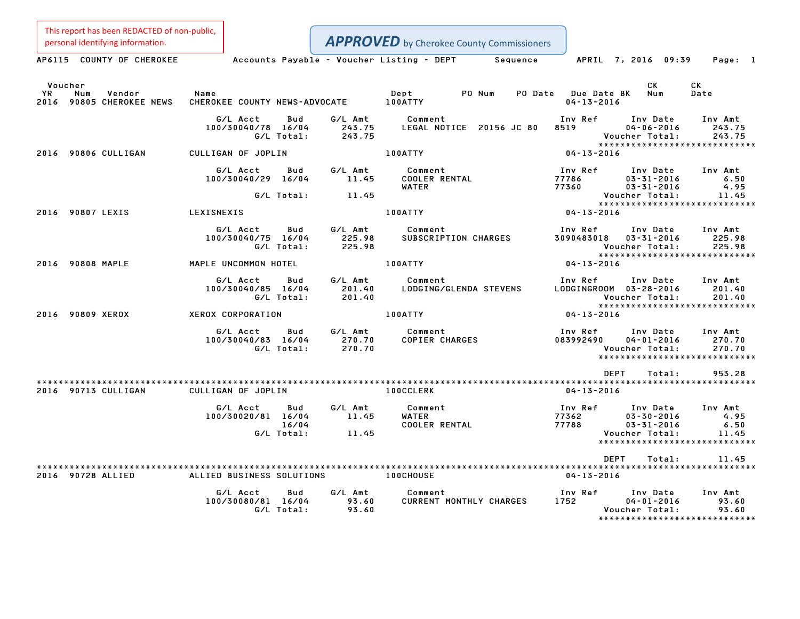This report has been REDACTED of non-public,<br>personal identifying information.

|                      | personal identifying information. |                                |                            |                             | <b>APPROVED</b> by Cherokee County Commissioners |                          |                           |                                                                    |                                                                   |
|----------------------|-----------------------------------|--------------------------------|----------------------------|-----------------------------|--------------------------------------------------|--------------------------|---------------------------|--------------------------------------------------------------------|-------------------------------------------------------------------|
|                      | AP6115 COUNTY OF CHEROKEE         |                                |                            |                             | Accounts Payable - Voucher Listing - DEPT        | Sequence                 |                           | APRIL 7, 2016 09:39                                                | Page: 1                                                           |
| Voucher<br>YR<br>Num | Vendor                            | Name                           |                            |                             | Dept                                             | PO Num<br>PO Date        | <b>Due Date BK</b>        | CK.<br>Num                                                         | СK<br>Date                                                        |
|                      | 2016 90805 CHEROKEE NEWS          | CHEROKEE COUNTY NEWS-ADVOCATE  |                            |                             | 100ATTY                                          |                          | $04 - 13 - 2016$          |                                                                    |                                                                   |
|                      |                                   | G/L Acct<br>100/30040/78 16/04 | Bud<br>G/L Total:          | G/L Amt<br>243.75<br>243.75 | Comment                                          | LEGAL NOTICE 20156 JC 80 | Inv Ref<br>8519           | Inv Date<br>$04 - 06 - 2016$<br>Voucher Total:                     | Inv Amt<br>243.75<br>243.75<br>*****************************      |
| 2016 90806 CULLIGAN  |                                   | CULLIGAN OF JOPLIN             |                            |                             | 100ATTY                                          |                          | $04 - 13 - 2016$          |                                                                    |                                                                   |
|                      |                                   | G/L Acct<br>100/30040/29 16/04 | Bud                        | G/L Amt<br>11.45            | Comment<br>COOLER RENTAL<br><b>WATER</b>         |                          | Inv Ref<br>77786<br>77360 | Inv Date<br>$03 - 31 - 2016$<br>$03 - 31 - 2016$                   | Inv Amt<br>6.50<br>4.95                                           |
|                      |                                   |                                | G/L Total:                 | 11.45                       |                                                  |                          |                           | Voucher Total:                                                     | 11.45<br>*****************************                            |
| 2016 90807 LEXIS     |                                   | LEXISNEXIS                     |                            |                             | 100ATTY                                          |                          | 04-13-2016                |                                                                    |                                                                   |
|                      |                                   | G/L Acct<br>100/30040/75 16/04 | Bud<br>G/L Total:          | G/L Amt<br>225.98<br>225.98 | Comment<br>SUBSCRIPTION CHARGES                  |                          | Inv Ref<br>3090483018     | Inv Date<br>$03 - 31 - 2016$<br>Voucher Total:                     | Inv Amt<br>225.98<br>225.98<br>*****************************      |
| 2016 90808 MAPLE     |                                   | MAPLE UNCOMMON HOTEL           |                            |                             | 100ATTY                                          |                          | $04 - 13 - 2016$          |                                                                    |                                                                   |
|                      |                                   | G/L Acct<br>100/30040/85 16/04 | Bud<br>G/L Total:          | G/L Amt<br>201.40<br>201.40 | Comment<br>LODGING/GLENDA STEVENS                |                          | Inv Ref                   | Inv Date<br>LODGINGROOM  03-28-2016<br>Voucher Total:              | Inv Amt<br>201.40<br>201.40<br>*****************************      |
| 2016 90809 XEROX     |                                   | XEROX CORPORATION              |                            |                             | 100ATTY                                          |                          | $04 - 13 - 2016$          |                                                                    |                                                                   |
|                      |                                   | G/L Acct<br>100/30040/83 16/04 | Bud<br>G/L Total:          | G/L Amt<br>270.70<br>270.70 | Comment<br><b>COPIER CHARGES</b>                 |                          | Inv Ref<br>083992490      | Inv Date<br>$04 - 01 - 2016$<br>Voucher Total:                     | Inv Amt<br>270.70<br>270.70<br>*****************************      |
|                      |                                   |                                |                            |                             |                                                  |                          |                           | <b>DEPT</b><br>Total:                                              | 953.28                                                            |
| 2016 90713 CULLIGAN  |                                   | CULLIGAN OF JOPLIN             |                            |                             | <b>100CCLERK</b>                                 |                          | $04 - 13 - 2016$          |                                                                    |                                                                   |
|                      |                                   | G/L Acct<br>100/30020/81 16/04 | Bud<br>16/04<br>G/L Total: | G/L Amt<br>11.45<br>11.45   | Comment<br><b>WATER</b><br><b>COOLER RENTAL</b>  |                          | Inv Ref<br>77362<br>77788 | Inv Date<br>$03 - 30 - 2016$<br>$03 - 31 - 2016$<br>Voucher Total: | Inv Amt<br>4.95<br>6.50<br>11.45<br>***************************** |
|                      |                                   |                                |                            |                             |                                                  |                          |                           | <b>DEPT</b><br>Total:                                              | 11.45                                                             |
| 2016 90728 ALLIED    |                                   | ALLIED BUSINESS SOLUTIONS      |                            |                             | <b>100CHOUSE</b>                                 |                          | $04 - 13 - 2016$          |                                                                    |                                                                   |
|                      |                                   | G/L Acct<br>100/30080/81 16/04 | Bud<br>G/L Total:          | G/L Amt<br>93.60<br>93.60   | Comment<br>CURRENT MONTHLY CHARGES               |                          | Inv Ref<br>1752           | Inv Date<br>$04 - 01 - 2016$<br>Voucher Total:                     | Inv Amt<br>93.60<br>93.60<br>*****************************        |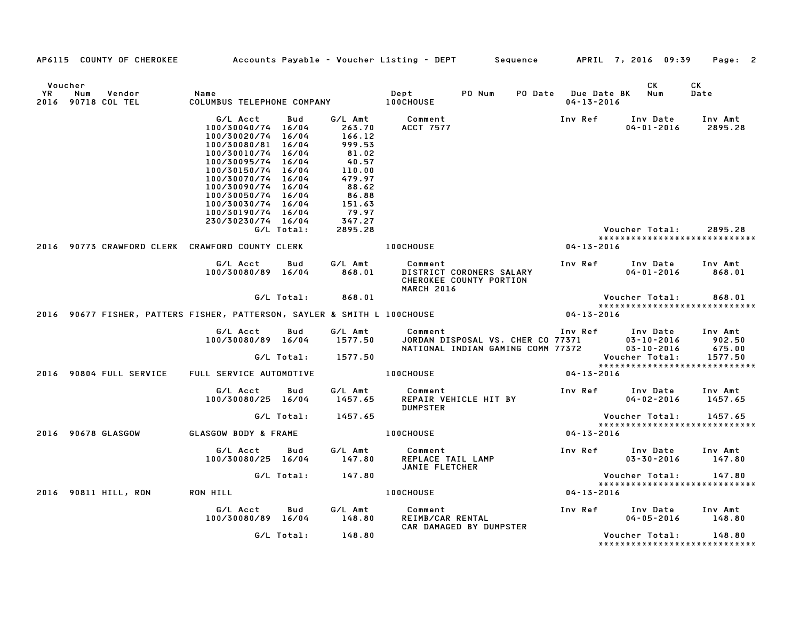|               | AP6115 COUNTY OF CHEROKEE                                                |                                                                                                                                                                                                                                                                                  |                   |                                                                                                                            |                                                | Accounts Payable – Voucher Listing – DEPT        Sequence                                                                                                   |                                         | APRIL 7, 2016 09:39                                    | Page: 2                                |
|---------------|--------------------------------------------------------------------------|----------------------------------------------------------------------------------------------------------------------------------------------------------------------------------------------------------------------------------------------------------------------------------|-------------------|----------------------------------------------------------------------------------------------------------------------------|------------------------------------------------|-------------------------------------------------------------------------------------------------------------------------------------------------------------|-----------------------------------------|--------------------------------------------------------|----------------------------------------|
| Voucher<br>YR | Vendor<br>Num<br>2016 90718 COL TEL                                      | Name<br>COLUMBUS TELEPHONE COMPANY 100CHOUSE                                                                                                                                                                                                                                     |                   |                                                                                                                            | Dept                                           | PO Num                                                                                                                                                      | PO Date Due Date BK<br>$04 - 13 - 2016$ | CK<br>Num                                              | СK<br>Date                             |
|               |                                                                          | G/L Acct<br>100/30040/74 16/04<br>100/30020/74 16/04<br>100/30080/81 16/04<br>100/30010/74 16/04<br>100/30095/74 16/04<br>100/30150/74 16/04<br>100/30070/74 16/04<br>100/30090/74 16/04<br>100/30050/74 16/04<br>100/30030/74 16/04<br>100/30190/74 16/04<br>230/30230/74 16/04 | Bud               | G/L Amt<br>263.70<br>166.12<br>999.53<br>81.02<br>40.57<br>110.00<br>479.97<br>88.62<br>86.88<br>151.63<br>79.97<br>347.27 | Comment<br><b>ACCT 7577</b>                    |                                                                                                                                                             | Inv Ref                                 | Inv Date<br>$04 - 01 - 2016$                           | Inv Amt<br>2895.28                     |
|               |                                                                          |                                                                                                                                                                                                                                                                                  | G/L Total:        | 2895.28                                                                                                                    |                                                |                                                                                                                                                             |                                         | Voucher Total:                                         | 2895.28                                |
|               | 2016 90773 CRAWFORD CLERK CRAWFORD COUNTY CLERK                          |                                                                                                                                                                                                                                                                                  |                   |                                                                                                                            | <b>100CHOUSE</b>                               |                                                                                                                                                             | 04-13-2016                              | *****************************                          |                                        |
|               |                                                                          | G/L Acct<br>100/30080/89 16/04                                                                                                                                                                                                                                                   | Bud               | G/L Amt<br>868.01                                                                                                          | Comment<br><b>MARCH 2016</b>                   | DISTRICT CORONERS SALARY<br>CHEROKEE COUNTY PORTION                                                                                                         | Inv Ref                                 | Inv Date<br>$04 - 01 - 2016$                           | Inv Amt<br>868.01                      |
|               |                                                                          |                                                                                                                                                                                                                                                                                  | G/L Total:        | 868.01                                                                                                                     |                                                |                                                                                                                                                             |                                         | Voucher Total:                                         | 868.01                                 |
|               | 2016 90677 FISHER, PATTERS FISHER, PATTERSON, SAYLER & SMITH L 100CHOUSE |                                                                                                                                                                                                                                                                                  |                   |                                                                                                                            |                                                |                                                                                                                                                             | $04 - 13 - 2016$                        | *****************************                          |                                        |
|               |                                                                          | G/L Acct<br>100/30080/89 16/04                                                                                                                                                                                                                                                   | Bud<br>G/L Total: | G/L Amt<br>1577.50<br>1577.50                                                                                              |                                                | Comment                                 Inv Ref       Inv Date<br>JORDAN DISPOSAL VS. CHER CO 77371         03-10-2016<br>NATIONAL INDIAN GAMING COMM 77372 |                                         | $03 - 10 - 2016$<br>$03 - 10 - 2016$<br>Voucher Total: | Inv Amt<br>902.50<br>675.00<br>1577.50 |
|               | 2016 90804 FULL SERVICE                                                  | FULL SERVICE AUTOMOTIVE                                                                                                                                                                                                                                                          |                   |                                                                                                                            | <b>100CHOUSE</b>                               |                                                                                                                                                             | 04-13-2016                              | *****************************                          |                                        |
|               |                                                                          | G/L Acct<br>100/30080/25 16/04                                                                                                                                                                                                                                                   | Bud               | G/L Amt<br>1457.65                                                                                                         | Comment<br><b>DUMPSTER</b>                     | REPAIR VEHICLE HIT BY                                                                                                                                       | Inv Ref                                 | Inv Date<br>$04 - 02 - 2016$                           | Inv Amt<br>1457.65                     |
|               |                                                                          |                                                                                                                                                                                                                                                                                  | G/L Total:        | 1457.65                                                                                                                    |                                                |                                                                                                                                                             |                                         | Voucher Total:                                         | 1457.65                                |
|               | 2016 90678 GLASGOW                                                       | GLASGOW BODY & FRAME                                                                                                                                                                                                                                                             |                   |                                                                                                                            | <b>100CHOUSE</b>                               |                                                                                                                                                             | $04 - 13 - 2016$                        | *****************************                          |                                        |
|               |                                                                          | G/L Acct<br>100/30080/25 16/04                                                                                                                                                                                                                                                   | Bud               | G/L Amt<br>147.80                                                                                                          | Comment<br>REPLACE TAIL LAMP<br>JANIE FLETCHER |                                                                                                                                                             |                                         | Inv Ref Inv Date<br>$03 - 30 - 2016$                   | Inv Amt<br>147.80                      |
|               |                                                                          |                                                                                                                                                                                                                                                                                  | G/L Total:        | 147.80                                                                                                                     |                                                |                                                                                                                                                             |                                         | Voucher Total:                                         | 147.80                                 |
|               | 2016 90811 HILL, RON                                                     | RON HILL                                                                                                                                                                                                                                                                         |                   |                                                                                                                            | <b>100CHOUSE</b>                               |                                                                                                                                                             | 04-13-2016                              | *****************************                          |                                        |
|               |                                                                          | G/L Acct<br>100/30080/89 16/04                                                                                                                                                                                                                                                   | Bud               | G/L Amt<br>148.80                                                                                                          | Comment<br>REIMB/CAR RENTAL                    |                                                                                                                                                             | Inv Ref                                 | Inv Date<br>$04 - 05 - 2016$                           | Inv Amt<br>148.80                      |
|               |                                                                          |                                                                                                                                                                                                                                                                                  | G/L Total:        | 148.80                                                                                                                     |                                                | CAR DAMAGED BY DUMPSTER                                                                                                                                     |                                         | Voucher Total:<br>******************************       | 148.80                                 |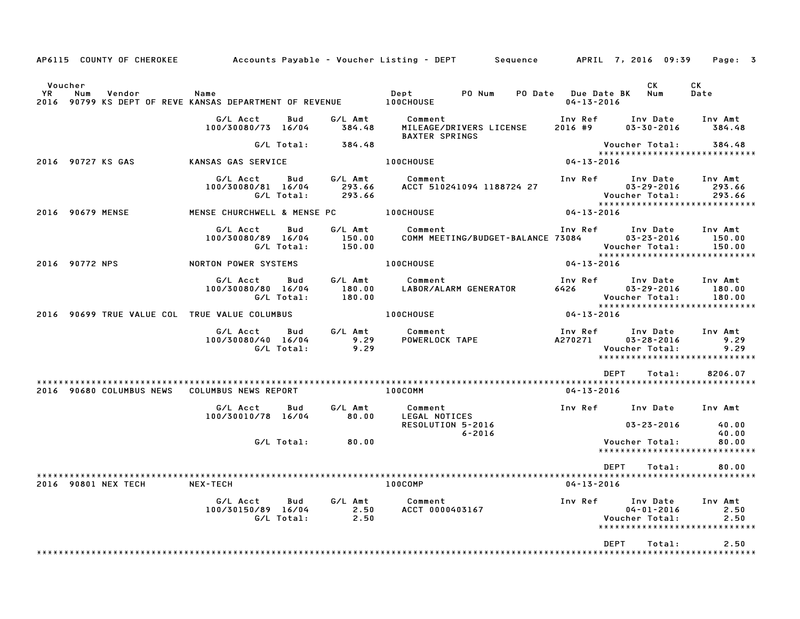| AP6115 COUNTY OF CHEROKEE                     |                                                                      |                             | Accounts Payable – Voucher Listing – DEPT         Sequence         APRIL 7, 2016  09:39 |                                         |                                                | Page: 3                                                      |
|-----------------------------------------------|----------------------------------------------------------------------|-----------------------------|-----------------------------------------------------------------------------------------|-----------------------------------------|------------------------------------------------|--------------------------------------------------------------|
| Voucher<br><b>YR</b><br>Num<br>Vendor<br>2016 | Name<br>90799 KS DEPT OF REVE KANSAS DEPARTMENT OF REVENUE 100CHOUSE |                             | Dept<br>PO Num                                                                          | PO Date Due Date BK<br>$04 - 13 - 2016$ | CK<br>Num                                      | СK<br>Date                                                   |
|                                               | G/L Acct<br>Bud<br>100/30080/73 16/04                                | G/L Amt<br>384.48           | Comment<br>MILEAGE/DRIVERS LICENSE<br><b>BAXTER SPRINGS</b>                             | Inv Ref<br>2016 #9                      | Inv Date<br>$03 - 30 - 2016$                   | Inv Amt<br>384.48                                            |
|                                               | G/L Total:                                                           | 384.48                      |                                                                                         |                                         | Voucher Total:                                 | 384.48<br>*****************************                      |
| 2016 90727 KS GAS                             | KANSAS GAS SERVICE                                                   |                             | 100CHOUSE                                                                               | 04-13-2016                              |                                                |                                                              |
|                                               | G/L Acct<br>Bud<br>100/30080/81 16/04<br>G/L Total:                  | G/L Amt<br>293.66<br>293.66 | Comment<br>ACCT 510241094 1188724 27                                                    | Inv Ref                                 | Inv Date<br>$03 - 29 - 2016$<br>Voucher Total: | Inv Amt<br>293.66<br>293.66                                  |
| 2016 90679 MENSE                              | MENSE CHURCHWELL & MENSE PC                                          |                             | <b>100CHOUSE</b>                                                                        | 04-13-2016                              |                                                |                                                              |
|                                               | G/L Acct<br>Bud<br>100/30080/89 16/04<br>G/L Total:                  | G/L Amt<br>150.00<br>150.00 | Comment<br>COMM MEETING/BUDGET-BALANCE 73084                                            | Inv Ref                                 | Inv Date<br>$03 - 23 - 2016$<br>Voucher Total: | Inv Amt<br>150.00<br>150.00<br>***************************** |
| 2016 90772 NPS                                | NORTON POWER SYSTEMS                                                 |                             | 100CHOUSE                                                                               | 04-13-2016                              |                                                |                                                              |
|                                               | G/L Acct<br>Bud<br>100/30080/80 16/04<br>G/L Total:                  | G/L Amt<br>180.00<br>180.00 | Comment<br>LABOR/ALARM GENERATOR                                                        | Inv Ref<br>6426                         | Inv Date<br>$03 - 29 - 2016$<br>Voucher Total: | Inv Amt<br>180.00<br>180.00<br>***************************** |
| 2016 90699 TRUE VALUE COL TRUE VALUE COLUMBUS |                                                                      |                             | 100CHOUSE                                                                               | $04 - 13 - 2016$                        |                                                |                                                              |
|                                               | G/L Acct<br>Bud<br>100/30080/40 16/04<br>G/L Total:                  | G/L Amt<br>9.29<br>9.29     | Comment<br>POWERLOCK TAPE                                                               | Inv Ref<br>A270271                      | Inv Date<br>$03 - 28 - 2016$<br>Voucher Total: | Inv Amt<br>9.29<br>9.29<br>******************************    |
|                                               |                                                                      |                             |                                                                                         | <b>DEPT</b>                             | Total:                                         | 8206.07                                                      |
| 90680 COLUMBUS NEWS<br>2016                   | COLUMBUS NEWS REPORT                                                 |                             | $100$ COMM                                                                              | 04-13-2016                              |                                                |                                                              |
|                                               | G/L Acct<br>Bud<br>100/30010/78 16/04                                | G/L Amt<br>80.00            | Comment<br>LEGAL NOTICES<br>RESOLUTION 5-2016                                           | Inv Ref                                 | Inv Date<br>$03 - 23 - 2016$                   | Inv Amt<br>40.00                                             |
|                                               | G/L Total:                                                           | 80.00                       | $6 - 2016$                                                                              |                                         | Voucher Total:                                 | 40.00<br>80.00<br>*****************************              |
|                                               |                                                                      |                             |                                                                                         | DEPT                                    | Total:                                         | 80.00                                                        |
| 2016 90801 NEX TECH                           | <b>NEX-TECH</b>                                                      |                             | 100COMP                                                                                 | 04-13-2016                              |                                                |                                                              |
|                                               | G/L Acct<br>Bud<br>100/30150/89 16/04<br>G/L Total:                  | G/L Amt<br>2.50<br>2.50     | Comment<br>ACCT 0000403167                                                              | Inv Ref                                 | Inv Date<br>$04 - 01 - 2016$<br>Voucher Total: | Inv Amt<br>2.50<br>2.50<br>*****************************     |
|                                               |                                                                      |                             |                                                                                         | <b>DEPT</b>                             | Total:                                         | 2.50                                                         |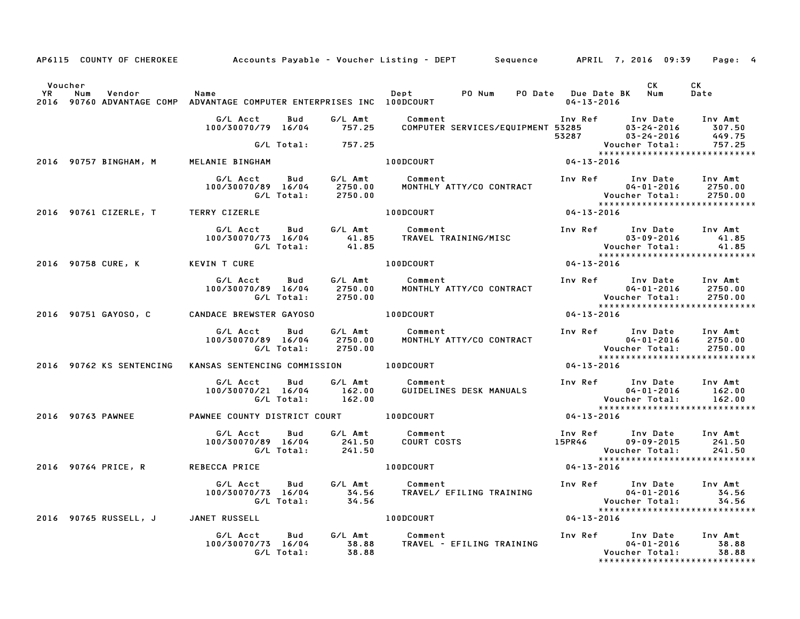|                              | AP6115 COUNTY OF CHEROKEE           |                                                                              |                               | Accounts Payable – Voucher Listing – DEPT         Sequence         APRIL 7, 2016  09:39                                |                      |                                                                                                          | Page: 4                       |
|------------------------------|-------------------------------------|------------------------------------------------------------------------------|-------------------------------|------------------------------------------------------------------------------------------------------------------------|----------------------|----------------------------------------------------------------------------------------------------------|-------------------------------|
| Voucher<br><b>YR</b><br>2016 | Num<br>Vendor                       | Name<br>90760 ADVANTAGE COMP ADVANTAGE COMPUTER ENTERPRISES INC 100DCOURT    |                               | Dept PO Num PO Date Due Date BK Num                                                                                    | 04-13-2016           | CK .                                                                                                     | CK<br>Date                    |
|                              |                                     | G/L Acct<br>Bud<br>100/30070/79 16/04                                        | G/L Amt<br>757.25             | Comment<br>COMPUTER<br>ا الله عبد الله عبد Comment<br>COMPUTER SERVICES/EQUIPMENT 53285 03-24-2016<br>63287 03-24-2016 |                      | Inv Ref Inv Date                                                                                         | Inv Amt<br>307.50<br>449.75   |
|                              |                                     | G/L Total: 757.25                                                            |                               |                                                                                                                        |                      | Voucher Total:<br>*****************************                                                          | 757.25                        |
|                              | 2016 90757 BINGHAM, M               | MELANIE BINGHAM                                                              |                               | $04 - 13 - 2016$<br>100DCOURT                                                                                          |                      |                                                                                                          |                               |
|                              |                                     | G/L Acct  Bud  G/L Amt<br>100/30070/89  16/04  2750.00<br>G/L Total: 2750.00 |                               | <b>Comment</b> Comment<br>MONTHLY ATTY/CO CONTRACT                                                                     |                      | Inv Ref Inv Date<br>$04 - 01 - 2016$<br>Voucher Total: 2750.00<br>****************************           | Inv Amt<br>2750.00            |
|                              | 2016 90761 CIZERLE, T TERRY CIZERLE |                                                                              |                               | <b>100DCOURT</b>                                                                                                       | 04-13-2016           |                                                                                                          |                               |
|                              |                                     | G/L Acct Bud<br>100/30070/73 16/04<br>G/L Total:                             | G/L Amt<br>$41.85$<br>$41.85$ | Comment<br>COMMENT<br>TRAVEL TRAINING/MISC                                                                             |                      | Inv Ref Inv Date Inv Amt                                                                                 |                               |
|                              | 2016 90758 CURE, K KEVIN T CURE     |                                                                              |                               | 100DCOURT                                                                                                              | $04 - 13 - 2016$     |                                                                                                          |                               |
|                              |                                     | G/L Acct<br>Bud<br>100/30070/89 16/04<br>G/L Total:                          | 2750.00                       | G/L Amt           Comment<br>2750.00       MONTHLY A1<br>MONTHLY ATTY/CO CONTRACT                                      |                      | Inv Ref Inv Date<br>04-01-2016                                                                           | Inv Amt                       |
|                              | 2016 90751 GAYOSO, C                | CANDACE BREWSTER GAYOSO                                                      |                               | 100DCOURT                                                                                                              |                      |                                                                                                          |                               |
|                              |                                     | <b>Bud</b><br>G/L Acct<br>100/30070/89 16/04<br>G/L Total:                   | 2750.00<br>2750.00            | G/L Amt Comment<br>MONTHLY ATTY/CO CONTRACT                                                                            |                      | Inv Ref Inv Date<br>$04 - 01 - 2016$<br>04-01-2016<br>:Voucher Total<br>*****************************    | Inv Amt<br>2750.00<br>2750.00 |
|                              | 2016 90762 KS SENTENCING            | KANSAS SENTENCING COMMISSION 100DCOURT                                       |                               |                                                                                                                        | 04-13-2016           |                                                                                                          |                               |
|                              |                                     | G/L Acct Bud<br>100/30070/21 16/04 162.00<br>G/L Total: 162.00               | G/L Amt                       | Comment<br>GUIDELINES DESK MANUALS                                                                                     | <b>Vouc</b>          | Inv Ref Inv Date Inv Amt<br>04-01-2016<br>Voucher Total:                                                 | 162.00<br>162.00              |
|                              |                                     | 2016 90763 PAWNEE COUNTY DISTRICT COURT 100DCOURT                            |                               |                                                                                                                        | $04 - 13 - 2016$     |                                                                                                          |                               |
|                              |                                     | G/L Acct   Bud<br>100/30070/89 16/04<br>G/L Total: 241.50                    | G/L Amt<br>241.50             | Comment<br>COMMENT<br>COURT COSTS                                                                                      | 15PR46 <sup>11</sup> | Inv Ref      Inv Date<br>09-09-2015<br>Voucher Total:                                                    | Inv Amt<br>241.50<br>241.50   |
|                              | 2016 90764 PRICE, R                 | <b>REBECCA PRICE</b>                                                         |                               | 100DCOURT                                                                                                              | 04-13-2016           |                                                                                                          |                               |
|                              |                                     | G/L Acct<br><b>Bud</b><br>100/30070/73 16/04<br>G/L Total:                   | 34.56<br>34.56                | G/L Amt Comment<br>TRAVEL/ EFILING TRAINING                                                                            |                      | Inv Ref      Inv Date<br>$04 - 01 - 2016$<br>04-01-2016<br>:Voucher Total                                | Inv Amt<br>34.56<br>34.56     |
|                              | 2016 90765 RUSSELL, J               | JANET RUSSELL                                                                |                               | 100DCOURT                                                                                                              | $04 - 13 - 2016$     | *****************************                                                                            |                               |
|                              |                                     | G/L Acct<br>Bud<br>100/30070/73 16/04<br>G/L Total:                          | G/L Amt<br>38.88<br>38.88     | Comment<br>TRAVEL - EFILING TRAINING                                                                                   |                      | Inv Ref      Inv Date     Inv Amt<br>$04 - 01 - 2016$<br>Voucher Total:<br>***************************** | 38.88<br>38.88                |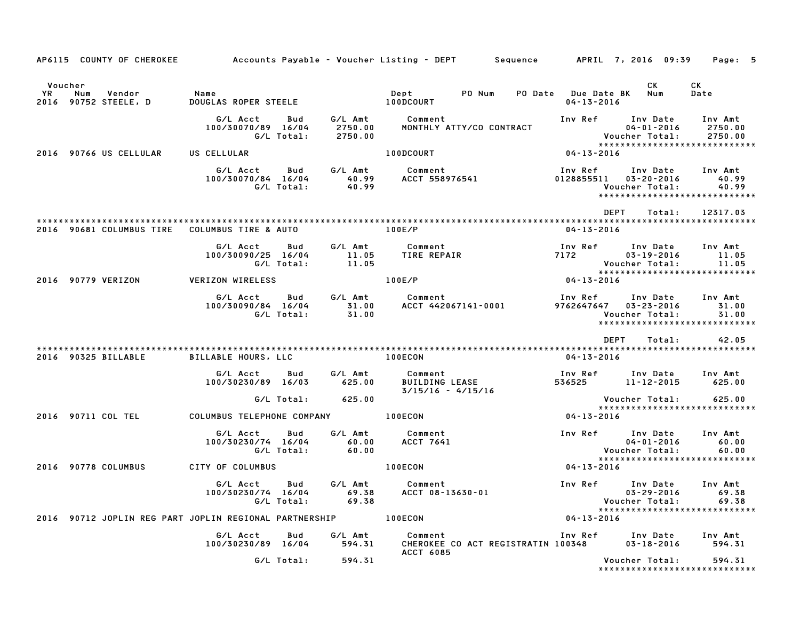| AP6115 COUNTY OF CHEROKEE                                     |                                                     |                               | Accounts Payable – Voucher Listing – DEPT       Sequence      APRIL 7, 2016 09:39 |                                             |                                                             | Page: 5                                                            |
|---------------------------------------------------------------|-----------------------------------------------------|-------------------------------|-----------------------------------------------------------------------------------|---------------------------------------------|-------------------------------------------------------------|--------------------------------------------------------------------|
| Voucher<br><b>YR</b><br>Num<br>Vendor<br>2016 90752 STEELE, D | Name<br>DOUGLAS ROPER STEELE                        |                               | Dept PO Num<br>100DCOURT                                                          | PO Date Due Date BK Num<br>$04 - 13 - 2016$ | CK                                                          | СK<br>Date                                                         |
|                                                               | G/L Acct<br>Bud<br>100/30070/89 16/04<br>G/L Total: | G⁄L Amt<br>2750.00<br>2750.00 | Comment<br>MONTHLY ATTY/CO CONTRACT                                               |                                             | Inv Ref Inv Date<br>04-01-2016<br>Voucher Total:            | Inv Amt<br>2750.00<br>2750.00<br>******************************    |
| 2016 90766 US CELLULAR                                        | US CELLULAR                                         |                               | 100DCOURT                                                                         | 04-13-2016                                  |                                                             |                                                                    |
|                                                               | G/L Acct<br>Bud<br>100/30070/84 16/04<br>G/L Total: | 40.99<br>40.99                | G/L Amt Comment<br>ACCT 558976541                                                 | Inv Ref<br>0128855511                       | Inv Date<br>03-20-2016<br>Voucher Total:                    | Inv Amt<br>40.99<br>40.99<br>*****************************         |
| 2016 90681 COLUMBUS TIRE                                      | COLUMBUS TIRE & AUTO                                |                               | 100E/P                                                                            | <b>DEPT</b><br>04-13-2016                   | Total:                                                      | 12317.03                                                           |
|                                                               | G/L Acct<br>Bud<br>100/30090/25 16/04<br>G/L Total: | G/L Amt<br>11.05<br>11.05     | Comment<br>TIRE REPAIR                                                            | 7172                                        | Inv Ref      Inv Date<br>$03 - 19 - 2016$<br>Voucher Total: | Inv Amt<br>11.05<br>11.05<br>*****************************         |
| 2016 90779 VERIZON                                            | <b>VERIZON WIRELESS</b>                             |                               | 100E/P                                                                            | $04 - 13 - 2016$                            |                                                             |                                                                    |
|                                                               | G/L Acct<br>Bud<br>100/30090/84 16/04<br>G/L Total: | 31.00<br>31.00                | G/L Amt Comment<br>ACCT 442067141-0001                                            | Inv Ref<br>9762647647 03-23-2016            | Inv Date<br>Voucher Total:                                  | Inv Amt<br>31.00<br>31.00<br>******************************        |
|                                                               |                                                     |                               |                                                                                   | DEPT                                        | Total:                                                      | 42.05                                                              |
| 2016 90325 BILLABLE                                           | BILLABLE HOURS, LLC                                 |                               | 100ECON                                                                           | 04-13-2016                                  |                                                             |                                                                    |
|                                                               | G/L Acct<br>Bud<br>100/30230/89 16/03               | G/L Amt<br>625.00             | Comment<br><b>BUILDING LEASE</b><br>$3/15/16 - 4/15/16$                           | 536525                                      | Inv Ref      Inv Date<br>11-12-2015                         | Inv Amt<br>625.00                                                  |
|                                                               | G/L Total:                                          | 625.00                        |                                                                                   |                                             | Voucher Total:                                              | 625.00<br>*****************************                            |
| 2016 90711 COL TEL                                            | COLUMBUS TELEPHONE COMPANY 100ECON                  |                               |                                                                                   | 04-13-2016                                  |                                                             |                                                                    |
|                                                               | G/L Acct<br>Bud<br>100/30230/74 16/04<br>G/L Total: | G/L Amt<br>60.00<br>60.00     | Comment<br>ACCT 7641                                                              |                                             | Inv Ref Inv Date<br>04-01-2016<br>Voucher Total:            | Inv Amt<br>60.00<br>60.00                                          |
| 2016 90778 COLUMBUS                                           | CITY OF COLUMBUS                                    |                               | 100ECON                                                                           | 04-13-2016                                  |                                                             | *****************************                                      |
|                                                               | G/L Acct<br>Bud<br>G/L Total:                       | 69.38                         | G/L Amt Comment<br>100/30230/74 16/04 69.38 ACCT 08-13630-01                      | Inv Ref                                     | Inv Date<br>Voucher Total: 69.38                            | Inv Amt<br>$03 - 29 - 2016$ 69.38<br>***************************** |
| 2016 90712 JOPLIN REG PART JOPLIN REGIONAL PARTNERSHIP        |                                                     |                               | 100ECON                                                                           | $04 - 13 - 2016$                            |                                                             |                                                                    |
|                                                               | G/L Acct Bud<br>100/30230/89 16/04                  | G/L Amt<br>594.31             | Comment<br>CHEROKEE CO ACT REGISTRATIN 100348<br><b>ACCT 6085</b>                 |                                             | Inv Ref      Inv Date<br>03-18-2016                         | Inv Amt<br>594.31                                                  |
|                                                               | G/L Total:                                          | 594.31                        |                                                                                   |                                             | Voucher Total:                                              | 594.31<br>*****************************                            |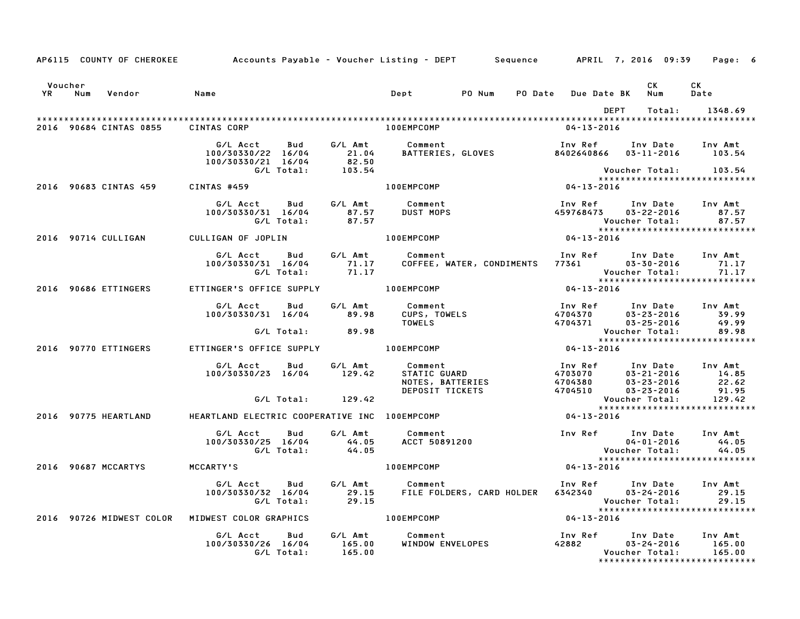|                   |                                    |                                                                                                   |                  | AP6115 COUNTY OF CHEROKEE Accounts Payable - Voucher Listing - DEPT Sequence APRIL 7, 2016 09:39 Page: 6                                                                                                  |                                                           |                |                                                               |
|-------------------|------------------------------------|---------------------------------------------------------------------------------------------------|------------------|-----------------------------------------------------------------------------------------------------------------------------------------------------------------------------------------------------------|-----------------------------------------------------------|----------------|---------------------------------------------------------------|
| Voucher<br>YR Num | Vendor                             | Name                                                                                              |                  | Dept PONum                                                                                                                                                                                                | PO Date Due Date BK Num                                   | CK             | CK<br>Date                                                    |
|                   |                                    |                                                                                                   |                  |                                                                                                                                                                                                           |                                                           | DEPT<br>Total: | 1348.69                                                       |
|                   | 2016 90684 CINTAS 0855 CINTAS CORP |                                                                                                   |                  | 100EMPCOMP                                                                                                                                                                                                | $04 - 13 - 2016$                                          |                |                                                               |
|                   |                                    |                                                                                                   |                  | bud G/L Amt Comment Inv Ref Inv Date Inv Amt<br>100/30330/22 16/04 21.04 BATTERIES, GLOVES 8402640866 03–11–2016 103.54<br>G/L Total: 103.54<br>103.54                                                    |                                                           |                |                                                               |
|                   |                                    |                                                                                                   |                  |                                                                                                                                                                                                           |                                                           |                | *****************************                                 |
|                   | 2016 90683 CINTAS 459 CINTAS #459  |                                                                                                   |                  | $04 - 13 - 2016$<br>100EMPCOMP                                                                                                                                                                            |                                                           |                |                                                               |
|                   |                                    | G/L Acct Bud G/L Amt Comment<br>100/30330/31 16/04 87.57<br>G/L Total: 87.57                      |                  | Comment<br>DUST MOPS                                                                                                                                                                                      | Inv Ref      Inv Date     Inv Amt<br>459768473 03-22-2016 |                | 87.57<br>Voucher Total: 87.57<br>**************************** |
|                   | 2016 90714 CULLIGAN                | CULLIGAN OF JOPLIN 100EMPCOMP                                                                     |                  | $04 - 13 - 2016$                                                                                                                                                                                          |                                                           |                |                                                               |
|                   |                                    | G/L Acct Bud G/L Amt Comment<br>100/30330/31 16/04 71.17                                          | G/L Total: 71.17 | COFFEE, WATER, CONDIMENTS 77361 03-30-2016 71.17                                                                                                                                                          | Inv Ref Inv Date Inv Amt                                  |                | Voucher Total: 71.17<br>****************************          |
|                   | 2016 90686 ETTINGERS               | ETTINGER'S OFFICE SUPPLY 100EMPCOMP                                                               |                  |                                                                                                                                                                                                           | $04 - 13 - 2016$                                          |                |                                                               |
|                   |                                    |                                                                                                   |                  | G/L Acct  Bud  G/L Amt  Comment<br>100/30330/31 16/04  89.98  CUPS, TOWELS<br>TOWELS                                                                                                                      |                                                           |                |                                                               |
|                   |                                    |                                                                                                   | G/L Total: 89.98 |                                                                                                                                                                                                           |                                                           |                |                                                               |
|                   | 2016 90770 ETTINGERS               | ETTINGER'S OFFICE SUPPLY THE LOOEMPCOMP                                                           |                  |                                                                                                                                                                                                           |                                                           |                |                                                               |
|                   |                                    |                                                                                                   |                  | 6/L Acct Bud G/L Amt Comment – Inv Ref Inv Date Inv Amt<br>100/30330/23 16/04 129.42 STATIC GUARD – 4703070 03-21-2016 14.85<br>DEPOSIT TICKETS – 4704510 03-23-2016 22.62<br>29.42 Voucher Total: 129.42 |                                                           |                |                                                               |
|                   |                                    |                                                                                                   |                  |                                                                                                                                                                                                           |                                                           |                | *****************************                                 |
|                   | 2016 90775 HEARTLAND               | HEARTLAND ELECTRIC COOPERATIVE INC 100EMPCOMP                                                     |                  |                                                                                                                                                                                                           |                                                           |                |                                                               |
|                   |                                    | G/L Acct      Bud      G/L Amt        Comment<br>$100/30330/25$ $16/04$ 44.05<br>G/L Total: 44.05 |                  |                                                                                                                                                                                                           | <b>Voucher Total:</b>                                     |                | 44.05<br>44.05                                                |
|                   | 2016 90687 MCCARTYS                | <b>MCCARTY'S</b>                                                                                  |                  | <b>100EMPCOMP</b>                                                                                                                                                                                         | $04 - 13 - 2016$                                          |                |                                                               |
|                   |                                    |                                                                                                   |                  | G/L Acct Bud G/L Amt Comment Inv Ref Inv Date Inv Amt<br>100/30330/32 16/04 29.15 FILE FOLDERS, CARD HOLDER 6342340 03–24–2016 29.15<br>19.15 C/L Total: 29.15                                            |                                                           |                | 29.15<br>29.15<br>******************************              |
|                   |                                    | 2016 90726 MIDWEST COLOR MIDWEST COLOR GRAPHICS                                                   |                  | $04 - 13 - 2016$<br>100EMPCOMP                                                                                                                                                                            |                                                           |                |                                                               |
|                   |                                    | G/L Acct  Bud  G/L Amt  Comment<br>100/30330/26  16/04  165.00  WINDOW EN<br>G/L Total:  165.00   |                  | Comment Inv Ref Inv Date Inv Amt<br>WINDOW ENVELOPES 42882 03-24-2016 165.00<br>Voucher Total: 165.00                                                                                                     |                                                           |                |                                                               |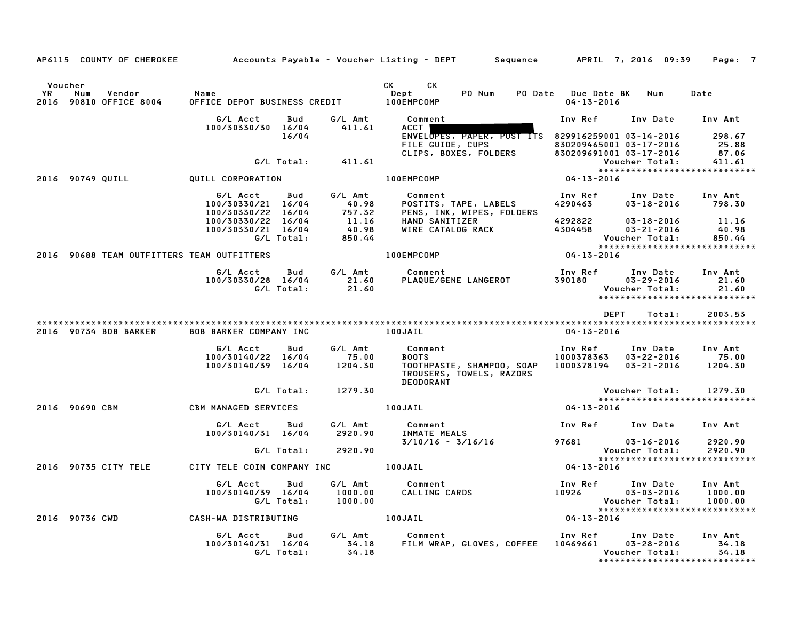|                        | AP6115 COUNTY OF CHEROKEE                  |                                                      |                   |                                          | Accounts Payable – Voucher Listing – DEPT         Sequence         APRIL 7, 2016  09:39                   |                                     |                                                                                 | Page: 7                       |
|------------------------|--------------------------------------------|------------------------------------------------------|-------------------|------------------------------------------|-----------------------------------------------------------------------------------------------------------|-------------------------------------|---------------------------------------------------------------------------------|-------------------------------|
| Voucher<br>YR.<br>2016 | Num<br>Vendor<br>90810 OFFICE 8004         | Name<br>OFFICE DEPOT BUSINESS CREDIT                 |                   |                                          | CK C<br>CK.<br>PO Num<br>Dept<br><b>100EMPCOMP</b>                                                        | $04 - 13 - 2016$                    | PO Date Due Date BK Num                                                         | Date                          |
|                        |                                            | G/L Acct                                             | Bud               | G/L Amt                                  | Comment                                                                                                   | Inv Ref                             | Inv Date                                                                        | Inv Amt                       |
|                        |                                            | 100/30330/30 16/04                                   | 16/04             | 411.61                                   | ACCT  <br>ENVELOPES, PAPER, POST ITS 829916259001 03-14-2016<br>FILE GUIDE, CUPS<br>CLIPS, BOXES, FOLDERS |                                     | 830209465001 03-17-2016<br>830209691001 03-17-2016                              | 298.67<br>25.88<br>87.06      |
|                        |                                            |                                                      | G/L Total:        | 411.61                                   |                                                                                                           |                                     | Voucher Total:<br>*****************************                                 | 411.61                        |
|                        | 2016 90749 QUILL                           | QUILL CORPORATION                                    |                   |                                          | 100EMPCOMP                                                                                                | 04-13-2016                          |                                                                                 |                               |
|                        |                                            | G/L Acct<br>100/30330/21 16/04<br>100/30330/22 16/04 | Bud               | G/L Amt<br>40.98<br>757.32               | Comment<br>POSTITS, TAPE, LABELS<br>PENS, INK, WIPES, FOLDERS                                             | Inv Ref<br>4290463                  | Inv Date<br>$03 - 18 - 2016$                                                    | Inv Amt<br>798.30             |
|                        |                                            | 100/30330/22 16/04<br>100/30330/21 16/04             | G/L Total:        | $\frac{11.16}{40.98}$<br>40.98<br>850.44 | HAND SANITIZER<br>WIRE CATALOG RACK                                                                       | 4292822<br>4304458                  | 03-18-2016<br>03-21-2016<br>Voucher Total:<br>*****************************     | 11.16<br>40.98<br>850.44      |
|                        | 2016 90688 TEAM OUTFITTERS TEAM OUTFITTERS |                                                      |                   |                                          | 100EMPCOMP                                                                                                | $04 - 13 - 2016$                    |                                                                                 |                               |
|                        |                                            | G/L Acct<br>100/30330/28 16/04                       | Bud<br>G/L Total: | G/L Amt<br>21.60<br>21.60                | Comment<br>PLAQUE/GENE LANGEROT                                                                           | Inv Ref<br>390180                   | Inv Date<br>$03 - 29 - 2016$<br>Voucher Total:<br>***************************** | Inv Amt<br>21.60<br>21.60     |
|                        |                                            |                                                      |                   |                                          |                                                                                                           |                                     | <b>DEPT</b><br>Total:                                                           | 2003.53                       |
|                        | 2016 90734 BOB BARKER                      | <b>BOB BARKER COMPANY INC</b>                        |                   |                                          | 100JAIL                                                                                                   | 04-13-2016                          |                                                                                 |                               |
|                        |                                            | G/L Acct<br>100/30140/22 16/04<br>100/30140/39 16/04 | Bud               | G/L Amt<br>75.00<br>1204.30              | Comment<br><b>BOOTS</b><br>TOOTHPASTE, SHAMPOO, SOAP<br>TROUSERS, TOWELS, RAZORS<br><b>DEODORANT</b>      | Inv Ref<br>1000378363<br>1000378194 | Inv Date<br>$03 - 22 - 2016$<br>03-21-2016                                      | Inv Amt<br>75.00<br>1204.30   |
|                        |                                            |                                                      | G/L Total:        | 1279.30                                  |                                                                                                           |                                     | Voucher Total:                                                                  | 1279.30                       |
|                        | 2016 90690 CBM                             | CBM MANAGED SERVICES                                 |                   |                                          | 100JAIL                                                                                                   | 04-13-2016                          | *****************************                                                   |                               |
|                        |                                            | G/L Acct<br>100/30140/31 16/04                       | Bud               | G/L Amt<br>2920.90                       | Comment<br><b>INMATE MEALS</b>                                                                            | Inv Ref                             | Inv Date                                                                        | Inv Amt                       |
|                        |                                            |                                                      | G/L Total:        | 2920.90                                  | $3/10/16 - 3/16/16$                                                                                       | 97681                               | $03 - 16 - 2016$<br>Voucher Total:                                              | 2920.90<br>2920.90            |
|                        | 2016 90735 CITY TELE                       | CITY TELE COIN COMPANY INC                           |                   |                                          | 100JAIL                                                                                                   | $04 - 13 - 2016$                    | *****************************                                                   |                               |
|                        |                                            | G/L Acct<br>100/30140/39 16/04                       | Bud<br>G/L Total: | G/L Amt<br>1000.00<br>1000.00            | Comment<br>Comment<br>CALLING CARDS                                                                       | Inv Ref<br>10926                    | Inv Date<br>$03 - 03 - 2016$<br>Voucher Total:<br>***************************** | Inv Amt<br>1000.00<br>1000.00 |
|                        | 2016 90736 CWD                             | CASH-WA DISTRIBUTING                                 |                   |                                          | 100JAIL                                                                                                   | $04 - 13 - 2016$                    |                                                                                 |                               |
|                        |                                            | G/L Acct<br>100/30140/31 16/04                       | Bud<br>G/L Total: | G/L Amt<br>34.18<br>34.18                | Comment<br>FILM WRAP, GLOVES, COFFEE                                                                      | 10469661                            | Inv Ref Inv Date<br>$03 - 28 - 2016$<br>Voucher Total:                          | Inv Amt<br>34.18<br>34.18     |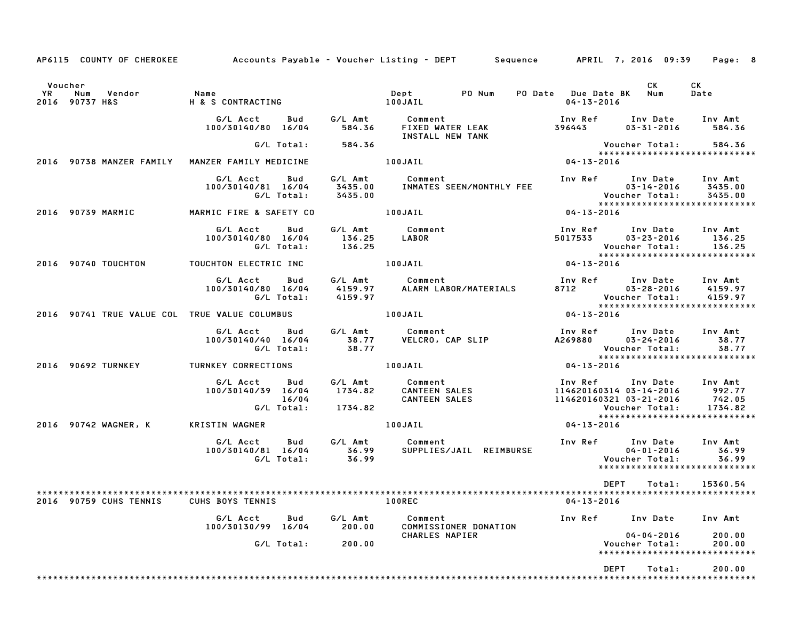| AP6115 COUNTY OF CHEROKEE Accounts Payable - Voucher Listing - DEPT Sequence APRIL 7, 2016 09:39 Page: 8 |                                                  |                   |                                                                                                                                                                                                                                                       |                  |                                                                                                                                                                 |                                |
|----------------------------------------------------------------------------------------------------------|--------------------------------------------------|-------------------|-------------------------------------------------------------------------------------------------------------------------------------------------------------------------------------------------------------------------------------------------------|------------------|-----------------------------------------------------------------------------------------------------------------------------------------------------------------|--------------------------------|
| Voucher                                                                                                  |                                                  |                   |                                                                                                                                                                                                                                                       | 04-13-2016       | CK<br>PO Date Due Date BK Num                                                                                                                                   | CK<br>Date                     |
|                                                                                                          |                                                  |                   | G/L Acct      Bud       G/L Amt         Comment                             Inv Ref      Inv Date      Inv Amt<br>100/30140/80   16/04        584.36       FIXED WATER LEAK                  396443         03–31–2016       584.<br>INSTALL NEW TANK |                  |                                                                                                                                                                 |                                |
|                                                                                                          | G/L Total: 584.36                                |                   |                                                                                                                                                                                                                                                       |                  | Voucher Total: 584.36<br>****************************                                                                                                           |                                |
| 2016 90738 MANZER FAMILY MANZER FAMILY MEDICINE 100JAIL                                                  |                                                  |                   |                                                                                                                                                                                                                                                       | $04 - 13 - 2016$ |                                                                                                                                                                 |                                |
|                                                                                                          |                                                  |                   |                                                                                                                                                                                                                                                       |                  |                                                                                                                                                                 |                                |
| 2016 90739 MARMIC <b>MARMIC FIRE &amp; SAFETY CO</b> 100JAIL                                             |                                                  |                   |                                                                                                                                                                                                                                                       | $04 - 13 - 2016$ |                                                                                                                                                                 |                                |
|                                                                                                          | G/L Acct Bud<br>100/30140/80 16/04<br>G/L Total: | 136.25            | G/L Amt          Comment<br>136.25      LABOR                                                                                                                                                                                                         |                  | Inv Ref      Inv Date    Inv Amt<br>5017533        03–23–2016       136.25<br>Voucher Total: 136.25<br>- Voucher lotal: د ۱۵۵۰<br>***************************** |                                |
|                                                                                                          |                                                  |                   |                                                                                                                                                                                                                                                       | $04 - 13 - 2016$ |                                                                                                                                                                 |                                |
|                                                                                                          |                                                  |                   | G/L Acct Bud G/L Amt Comment Inv Ref Inv Date Inv Amt<br>100/30140/80 16/04 4159.97 ALARM LABOR/MATERIALS 8712 03-28-2016 4159.97<br>G/L Total: 4159.97 Woucher Total: 4159.97                                                                        |                  |                                                                                                                                                                 |                                |
| 2016 90741 TRUE VALUE COL TRUE VALUE COLUMBUS   100JAIL                                                  |                                                  |                   |                                                                                                                                                                                                                                                       | $04 - 13 - 2016$ |                                                                                                                                                                 |                                |
|                                                                                                          |                                                  |                   | G/L Acct Bud G/L Amt Comment Inv Ref Inv Date Inv Amt<br>100/30140/40 16/04 38.77 VELCRO, CAP SLIP A269880 03–24–2016 38.77<br>G/L Total: 38.77 VelCRO, CAP SLIP A269880 03–24–2016 38.77                                                             |                  | Voucher Total: 38.77<br>****************************                                                                                                            |                                |
| 2016 90692 TURNKEY TURNKEY CORRECTIONS 100JAIL                                                           |                                                  |                   |                                                                                                                                                                                                                                                       | $04 - 13 - 2016$ |                                                                                                                                                                 |                                |
|                                                                                                          |                                                  |                   | 6/L Acct Bud 6/L Amt Comment Inv Ref Inv Date Inv Amt<br>100/30140/39 16/04 1734.82 CANTEEN SALES 114620160314 03-14-2016 992.77<br>6/L Total: 1734.82 CANTEEN SALES 114620160321 03-21-2016 742.05<br>6/L Total: 1734.82 Voucher Total               |                  |                                                                                                                                                                 |                                |
| 2016 90742 WAGNER, K                                                                                     | KRISTIN WAGNER                                   |                   | 100JAIL                                                                                                                                                                                                                                               | $04 - 13 - 2016$ |                                                                                                                                                                 |                                |
|                                                                                                          |                                                  |                   | G/L Acct Bud G/L Amt Comment Inv Ref Inv Date Inv Amt<br>100/30140/81 16/04 36.99 SUPPLIES/JAIL REIMBURSE 04-01-2016 36.99<br>G/L Total: 36.99 50.99 Voucher Total: 36.99                                                                             |                  |                                                                                                                                                                 |                                |
|                                                                                                          |                                                  |                   |                                                                                                                                                                                                                                                       |                  | <b>DEPT</b><br>Total:                                                                                                                                           | 15360.54                       |
| 2016 90759 CUHS TENNIS CUHS BOYS TENNIS                                                                  |                                                  |                   | <b>100REC</b>                                                                                                                                                                                                                                         | $04 - 13 - 2016$ |                                                                                                                                                                 |                                |
|                                                                                                          | G/L Acct<br>Bud<br>100/30130/99 16/04            | G/L Amt<br>200.00 | Comment<br>COMMISSIONER DONATION                                                                                                                                                                                                                      | Inv Ref          | Inv Date                                                                                                                                                        | Inv Amt                        |
|                                                                                                          | G/L Total:                                       | 200.00            | CHARLES NAPIER                                                                                                                                                                                                                                        |                  | $04 - 04 - 2016$<br>Voucher Total:<br>********************                                                                                                      | 200.00<br>200.00<br>********** |
|                                                                                                          |                                                  |                   |                                                                                                                                                                                                                                                       |                  |                                                                                                                                                                 |                                |
|                                                                                                          |                                                  |                   |                                                                                                                                                                                                                                                       |                  | DEPT<br>Total:                                                                                                                                                  | 200.00                         |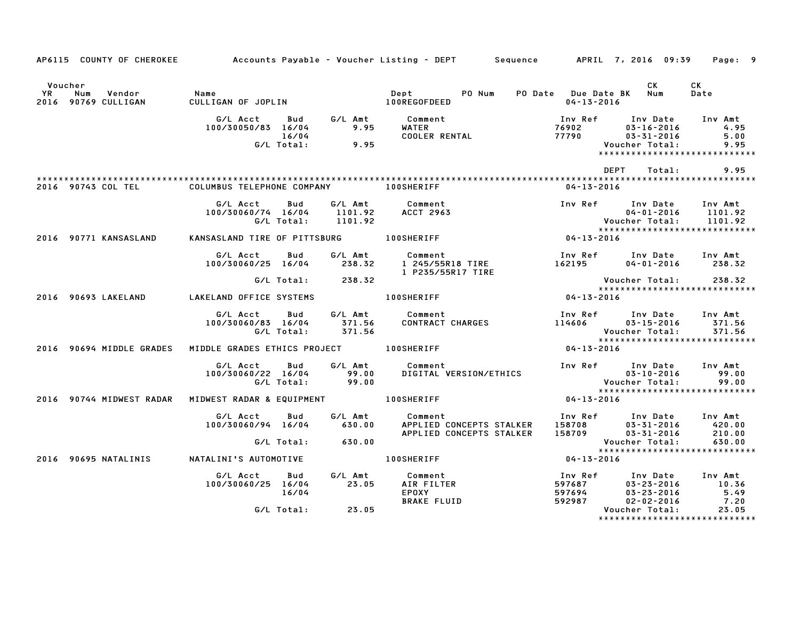|                      |                                      |                                                                                                                                                                      |       | AP6115 COUNTY OF CHEROKEE Accounts Payable - Voucher Listing - DEPT Sequence APRIL 7, 2016 09:39 Page: 9 |                  |                                                                                                                                                        |                      |
|----------------------|--------------------------------------|----------------------------------------------------------------------------------------------------------------------------------------------------------------------|-------|----------------------------------------------------------------------------------------------------------|------------------|--------------------------------------------------------------------------------------------------------------------------------------------------------|----------------------|
| Voucher<br><b>YR</b> | Vendor<br>Num<br>2016 90769 CULLIGAN | Name<br>CULLIG                                                                                                                                                       |       |                                                                                                          | $04 - 13 - 2016$ | CK L<br>PO Date Due Date BK Num                                                                                                                        | CK<br>Date           |
|                      |                                      | G/L Acct         Bud          G/L Amt             Comment<br>100/30050/83    16/04                 9.95           WATER<br>100/30050/83 16/04<br>16/04<br>G/L Total: | 9.95  | WATER<br>COOLER RENTAL                                                                                   | 77790            | Inv Ref       Inv Date     Inv Amt<br>76902          03–16–2016            4.95<br>$03 - 31 - 2016$<br>Voucher Total:<br>***************************** | 4.95<br>5.00<br>9.95 |
|                      |                                      |                                                                                                                                                                      |       |                                                                                                          |                  | DEPT<br>Total:                                                                                                                                         | 9.95                 |
|                      |                                      | 2016 90743 COL TEL COLUMBUS TELEPHONE COMPANY THE LOOSHERIFF                                                                                                         |       |                                                                                                          | 04-13-2016       |                                                                                                                                                        |                      |
|                      |                                      | G/L Acct<br>Bud<br>100/30060/74 16/04 1101.92 ACCT 2963<br>G/L Total:      1101.92                                                                                   |       | G/L Amt Comment                                                                                          |                  | Inv Ref Inv Date Inv Amt<br>04-01-2016 1101.92<br>Voucher Total: 1101.92<br>****************************                                               |                      |
|                      | 2016 90771 KANSASLAND                |                                                                                                                                                                      |       | KANSASLAND TIRE OF PITTSBURG 100SHERIFF                                                                  | $04 - 13 - 2016$ |                                                                                                                                                        |                      |
|                      |                                      | G/L Acct<br>Bud                                                                                                                                                      |       | G/L Amt Comment<br>100/30060/25 16/04 238.32 1 245/55R18 TIRE<br>1 P235/55R17 TIRE                       |                  | Inv Ref      Inv Date    Inv Amt<br>162195         04–01–2016       238.32                                                                             |                      |
|                      | 2016 90693 LAKELAND                  | G/L Total: 238.32                                                                                                                                                    |       |                                                                                                          | 04-13-2016       | Voucher Total: 238.32<br>****************************                                                                                                  |                      |
|                      |                                      | G/L Acct      Bud      G/L Amt         Comment                                                                                                                       |       | 100/30060/83 16/04 571.56<br>100/30060/83 16/04 371.56 CONTRACT CHARGES<br>G/L Total: 371.56             |                  | Inv Ref Inv Date Inv Amt<br>114606 03-15-2016 371.56<br>Voucher Total: 371.56<br>******************************                                        | 371.56               |
|                      |                                      |                                                                                                                                                                      |       |                                                                                                          | $04 - 13 - 2016$ |                                                                                                                                                        |                      |
|                      |                                      | G/L Acct Bud G/L Amt Comment<br>100/30060/22 16/04<br>09.00 6/L Total: 99.00                                                                                         |       | DIGITAL VERSION/ETHICS                                                                                   |                  | Inv Ref Inv Date Inv Amt<br>03-10-2016<br>Voucher Total: 99.00<br>******************************                                                       |                      |
|                      |                                      | 2016 90744 MIDWEST RADAR MIDWEST RADAR & EQUIPMENT   100SHERIFF                                                                                                      |       |                                                                                                          | $04 - 13 - 2016$ |                                                                                                                                                        |                      |
|                      |                                      | G/L Acct Bud<br>100/30060/94 16/04 630.00                                                                                                                            |       | G/L Amt Comment                                                                                          |                  |                                                                                                                                                        |                      |
|                      |                                      |                                                                                                                                                                      |       |                                                                                                          |                  |                                                                                                                                                        |                      |
|                      | 2016 90695 NATALINIS                 | NATALINI'S AUTOMOTIVE                                                                                                                                                |       | <b>100SHERIFF</b>                                                                                        | $04 - 13 - 2016$ |                                                                                                                                                        |                      |
|                      |                                      | G/L Acct<br>100/30060/25 16/04<br>16/04                                                                                                                              | 23.05 | Bud G/L Amt Comment<br>AIR FILTER<br>EPOXY<br><b>BRAKE FLUID</b>                                         |                  | 1nv Ref 1nv Date 1nv Amt<br>597687 03-23-2016 10.36<br>597694 03-23-2016 5.49<br>592987 02-02-2016 7.20                                                |                      |
|                      |                                      | G/L Total: 23.05                                                                                                                                                     |       |                                                                                                          |                  | Voucher Total:<br>*****************************                                                                                                        | 23.05                |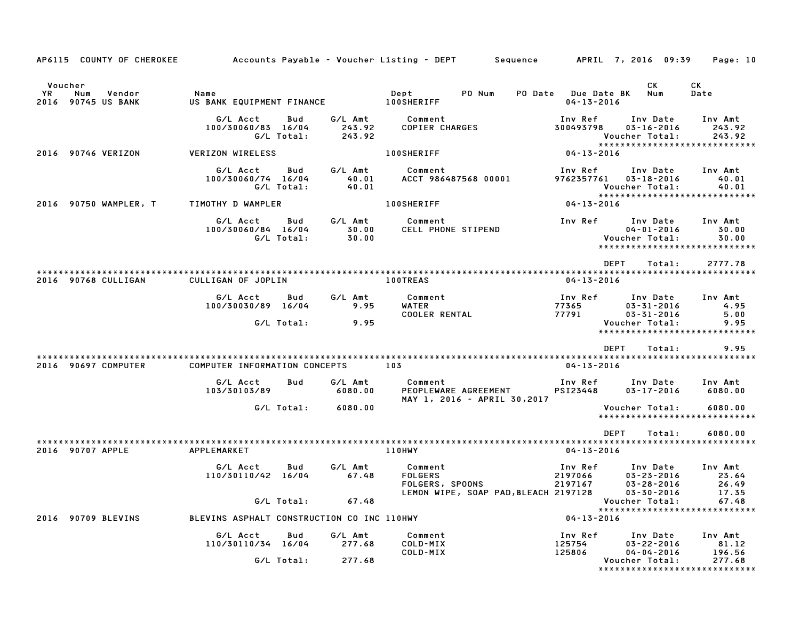| AP6115 COUNTY OF CHEROKEE                            |                                                     |                             | Accounts Payable – Voucher Listing – DEPT         Sequence     | APRIL 7, 2016 09:39                                                                                      | Page: 10                                |
|------------------------------------------------------|-----------------------------------------------------|-----------------------------|----------------------------------------------------------------|----------------------------------------------------------------------------------------------------------|-----------------------------------------|
| Voucher<br>YR<br>Num<br>Vendor<br>2016 90745 US BANK | Name<br>US BANK EQUIPMENT FINANCE                   |                             | Dept<br>PO Num<br><b>100SHERIFF</b>                            | CK.<br>PO Date Due Date BK<br>Num<br>$04 - 13 - 2016$                                                    | CK<br>Date                              |
|                                                      | G/L Acct<br>Bud<br>100/30060/83 16/04<br>G/L Total: | G/L Amt<br>243.92<br>243.92 | Comment<br><b>COPIER CHARGES</b>                               | Inv Ref<br>Inv Date<br>300493798<br>$03 - 16 - 2016$<br>Voucher Total:<br>*****************************  | Inv Amt<br>243.92<br>243.92             |
| 2016 90746 VERIZON                                   | <b>VERIZON WIRELESS</b>                             |                             | <b>100SHERIFF</b>                                              | 04-13-2016                                                                                               |                                         |
|                                                      | G/L Acct<br>Bud<br>100/30060/74 16/04<br>G/L Total: | G/L Amt<br>40.01<br>40.01   | Comment<br>ACCT 986487568 00001                                | Inv Ref<br>Inv Date<br>9762357761<br>$03 - 18 - 2016$<br>Voucher Total:<br>***************************** | Inv Amt<br>40.01<br>40.01               |
| 2016 90750 WAMPLER, T                                | TIMOTHY D WAMPLER                                   |                             | <b>100SHERIFF</b>                                              | 04-13-2016                                                                                               |                                         |
|                                                      | G/L Acct<br>Bud<br>100/30060/84 16/04<br>G/L Total: | G/L Amt<br>30.00<br>30.00   | Comment<br>CELL PHONE STIPEND                                  | Inv Ref<br>Inv Date<br>$04 - 01 - 2016$<br>Voucher Total:<br>*****************************               | Inv Amt<br>30.00<br>30.00               |
|                                                      |                                                     |                             |                                                                | <b>DEPT</b><br>Total:                                                                                    | 2777.78                                 |
| 2016 90768 CULLIGAN                                  | CULLIGAN OF JOPLIN                                  |                             | <b>100TREAS</b>                                                | $04 - 13 - 2016$                                                                                         |                                         |
|                                                      | G/L Acct<br>Bud<br>100/30030/89 16/04<br>G/L Total: | G/L Amt<br>9.95<br>9.95     | Comment<br>WATER<br><b>COOLER RENTAL</b>                       | Inv Ref<br>Inv Date<br>77365<br>$03 - 31 - 2016$<br>77791<br>$03 - 31 - 2016$<br>Voucher Total:          | Inv Amt<br>4.95<br>5.00<br>9.95         |
|                                                      |                                                     |                             |                                                                | *****************************                                                                            |                                         |
|                                                      |                                                     |                             |                                                                | <b>DEPT</b><br>Total:                                                                                    | 9.95                                    |
| 2016 90697 COMPUTER                                  | COMPUTER INFORMATION CONCEPTS                       |                             | 103                                                            | $04 - 13 - 2016$                                                                                         |                                         |
|                                                      | G/L Acct<br>Bud<br>103/30103/89                     | G/L Amt<br>6080.00          | Comment<br>PEOPLEWARE AGREEMENT<br>MAY 1, 2016 - APRIL 30,2017 | Inv Ref<br>Inv Date<br>PSI23448<br>$03 - 17 - 2016$                                                      | Inv Amt<br>6080.00                      |
|                                                      | G/L Total:                                          | 6080.00                     |                                                                | Voucher Total:<br>*****************************                                                          | 6080.00                                 |
|                                                      |                                                     |                             |                                                                | <b>DEPT</b><br>Total:                                                                                    | 6080.00                                 |
| 2016 90707 APPLE                                     | APPLEMARKET                                         |                             | 110HWY                                                         | $04 - 13 - 2016$                                                                                         | *************************               |
|                                                      | G/L Acct<br>Bud<br>110/30110/42 16/04               | G/L Amt<br>67.48            | Comment<br><b>FOLGERS</b><br>FOLGERS, SPOONS                   | Inv Ref<br>Inv Date<br>2197066<br>$03 - 23 - 2016$<br>2197167<br>$03 - 28 - 2016$                        | Inv Amt<br>23.64<br>26.49               |
|                                                      | G/L Total:                                          | 67.48                       | LEMON WIPE, SOAP PAD, BLEACH 2197128                           | $03 - 30 - 2016$<br>Voucher Total:                                                                       | 17.35<br>67.48                          |
| 2016 90709 BLEVINS                                   | BLEVINS ASPHALT CONSTRUCTION CO INC 110HWY          |                             |                                                                | ******************************<br>$04 - 13 - 2016$                                                       |                                         |
|                                                      | G/L Acct<br>Bud<br>110/30110/34 16/04               | G/L Amt<br>277.68           | Comment<br>COLD-MIX<br>COLD-MIX                                | Inv Date<br>Inv Ref<br>125754<br>$03 - 22 - 2016$<br>125806<br>$04 - 04 - 2016$                          | Inv Amt<br>81.12<br>196.56              |
|                                                      | G/L Total:                                          | 277.68                      |                                                                | Voucher Total:                                                                                           | 277.68<br>***************************** |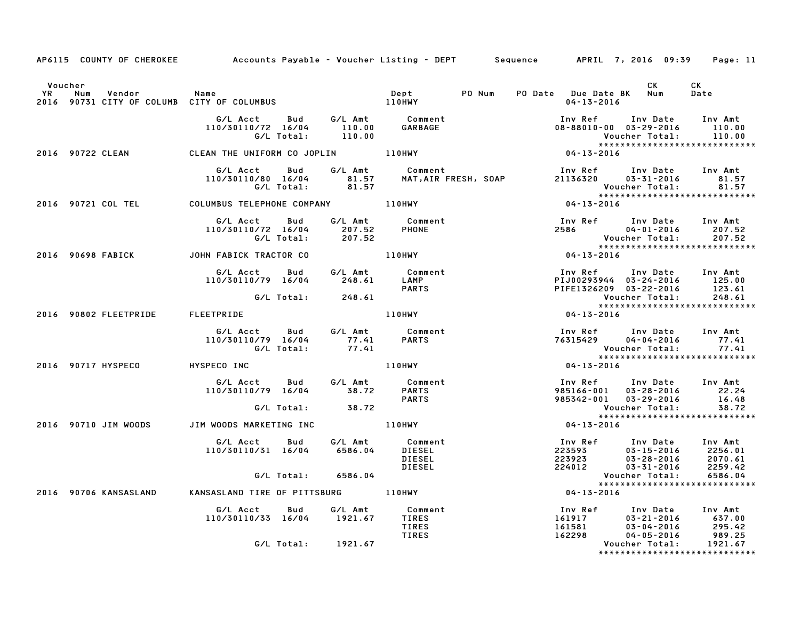|                      | AP6115 COUNTY OF CHEROKEE                                   |                                                     |                             |                                                     | Accounts Payable – Voucher Listing – DEPT         Sequence         APRIL  7, 2016  09:39                | Page: 11                                 |
|----------------------|-------------------------------------------------------------|-----------------------------------------------------|-----------------------------|-----------------------------------------------------|---------------------------------------------------------------------------------------------------------|------------------------------------------|
| Voucher<br><b>YR</b> | Num<br>Vendor<br>2016 90731 CITY OF COLUMB CITY OF COLUMBUS | Name                                                |                             | PO Num<br>Dept<br>110HWY                            | CK<br>PO Date Due Date BK Num<br>$04 - 13 - 2016$                                                       | CK<br>Date                               |
|                      |                                                             | G/L Acct<br>Bud<br>110/30110/72 16/04<br>G/L Total: | G/L Amt<br>110.00<br>110.00 | Comment<br><b>GARBAGE</b>                           | Inv Ref<br>Inv Date<br>08-88010-00 03-29-2016<br>Voucher Total:<br>*****************************        | Inv Amt<br>110.00<br>110.00              |
|                      | 2016 90722 CLEAN                                            | CLEAN THE UNIFORM CO JOPLIN                         |                             | 110HWY                                              | $04 - 13 - 2016$                                                                                        |                                          |
|                      |                                                             | G/L Acct<br>Bud<br>110/30110/80 16/04<br>G/L Total: | 81.57<br>81.57              | G/L Amt Comment<br>MAT, AIR FRESH, SOAP             | Inv Ref Inv Date<br>21136320<br>$03 - 31 - 2016$<br>Voucher Total:<br>******************************    | Inv Amt<br>81.57<br>81.57                |
|                      | 2016 90721 COL TEL                                          | COLUMBUS TELEPHONE COMPANY 110HWY                   |                             |                                                     | 04-13-2016                                                                                              |                                          |
|                      |                                                             | G/L Acct<br>Bud<br>110/30110/72 16/04<br>G/L Total: | G/L Amt<br>207.52<br>207.52 | Comment<br><b>PHONE</b>                             | Inv Ref      Inv Date<br>2586 700<br>04-01-2016<br>Voucher Total:<br>*****************************      | Inv Amt<br>207.52<br>207.52              |
|                      | 2016 90698 FABICK                                           | JOHN FABICK TRACTOR CO                              |                             | <b>110HWY</b>                                       | $04 - 13 - 2016$                                                                                        |                                          |
|                      |                                                             | G/L Acct Bud<br>110/30110/79 16/04                  | G/L Amt<br>248.61           | Comment<br>LAMP<br><b>PARTS</b>                     | Inv Ref Inv Date Inv Amt<br>PIJ00293944 03-24-2016<br>PIFE1326209 03-22-2016                            | 125.00<br>123.61                         |
|                      |                                                             |                                                     | G/L Total: 248.61           |                                                     | Voucher Total:<br>******************************                                                        | 248.61                                   |
|                      | 2016 90802 FLEETPRIDE                                       | FLEETPRIDE                                          |                             | 110HWY                                              | 04-13-2016                                                                                              |                                          |
|                      |                                                             | G/L Acct<br>110/30110/79 16/04<br>G/L Total:        | Bud<br>77.41<br>77.41       | G/L Amt Comment<br><b>PARTS</b>                     | Inv Ref      Inv Date<br>76315429<br>04-04-2016<br>Voucher Total:<br>*****************************      | Inv Amt<br>77.41<br>77.41                |
|                      | 2016 90717 HYSPECO                                          | HYSPECO INC                                         |                             | <b>110HWY</b>                                       | 04-13-2016                                                                                              |                                          |
|                      |                                                             | G/L Acct Bud<br>110/30110/79 16/04                  | G/L Amt<br>38.72            | Comment<br><b>PARTS</b><br><b>PARTS</b>             | Inv Date<br>Inv Ref<br>$03 - 28 - 2016$<br>985166-001<br>985342-001<br>$03 - 29 - 2016$                 | Inv Amt<br>22.24<br>16.48                |
|                      |                                                             | G/L Total:                                          | 38.72                       |                                                     | Voucher Total:<br>*****************************                                                         | 38.72                                    |
|                      | 2016 90710 JIM WOODS                                        | JIM WOODS MARKETING INC                             |                             | <b>110HWY</b>                                       | $04 - 13 - 2016$                                                                                        |                                          |
|                      |                                                             | G/L Acct<br>Bud<br>110/30110/31 16/04               | G/L Amt<br>6586.04          | Comment<br>DIESEL<br><b>DIESEL</b><br><b>DIESEL</b> | Inv Ref<br>Inv Date<br>223593<br>$03 - 15 - 2016$<br>223923<br>$03 - 28 - 2016$<br>224012<br>03-31-2016 | Inv Amt<br>2256.01<br>2070.61<br>2259.42 |
|                      |                                                             | G/L Total:                                          | 6586.04                     |                                                     | Voucher Total:<br>*****************************                                                         | 6586.04                                  |
|                      | 2016 90706 KANSASLAND                                       | KANSASLAND TIRE OF PITTSBURG 110HWY                 |                             |                                                     | $04 - 13 - 2016$                                                                                        |                                          |
|                      |                                                             | G/L Acct<br>Bud<br>110/30110/33 16/04               | G/L Amt<br>1921.67          | Comment<br><b>TIRES</b><br>TIRES<br>TIRES           | Inv Ref<br>Inv Date<br>161917<br>03-21-2016<br>161581<br>03-04-2016<br>162298<br>04-05-2016             | Inv Amt<br>637.00<br>295.42<br>989.25    |
|                      |                                                             |                                                     | G/L Total: 1921.67          |                                                     | Voucher Total:<br>*****************************                                                         | 1921.67                                  |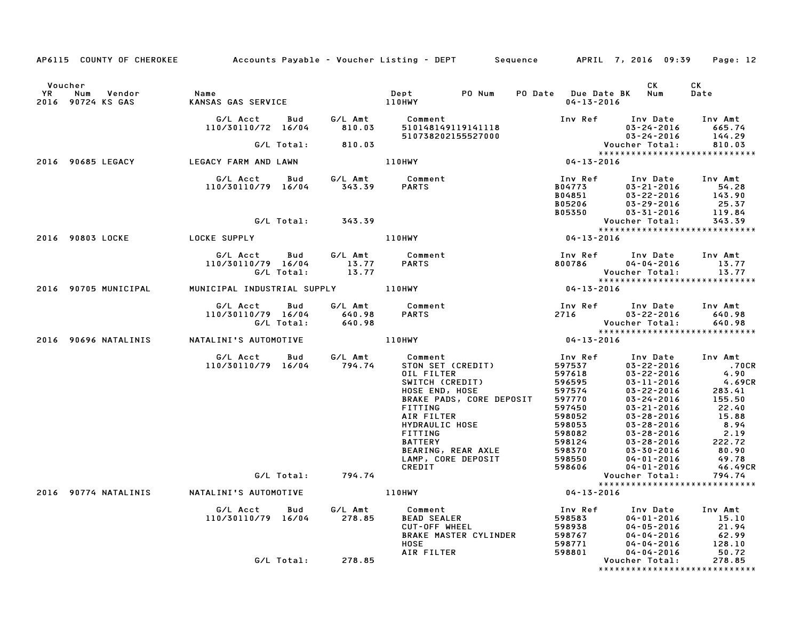| AP6115 COUNTY OF CHEROKEE Accounts Payable – Voucher Listing – DEPT Sequence APRIL 7, 2016 09:39 |                                                                              |                   |                                                                                                                                                                                                                                                                 |                                                                      |                                                                                                                                                                                                                                                                                                                           | Page: 12                                                                                                                                           |
|--------------------------------------------------------------------------------------------------|------------------------------------------------------------------------------|-------------------|-----------------------------------------------------------------------------------------------------------------------------------------------------------------------------------------------------------------------------------------------------------------|----------------------------------------------------------------------|---------------------------------------------------------------------------------------------------------------------------------------------------------------------------------------------------------------------------------------------------------------------------------------------------------------------------|----------------------------------------------------------------------------------------------------------------------------------------------------|
| Voucher<br><b>YR</b><br>Num Vendor<br>2016 90724 KS GAS                                          | Name<br>KANSAS GAS SERVICE 110HWY                                            |                   | Dept PONum                                                                                                                                                                                                                                                      | PO Date Due Date BK Num<br>$04 - 13 - 2016$                          | CK .                                                                                                                                                                                                                                                                                                                      | CK<br>Date                                                                                                                                         |
|                                                                                                  | G/L Acct<br>110/30110/72 16/04 810.03                                        |                   | Bud G/L Amt Comment<br>510148149119141118<br>510148149119141118<br>510738202155527000<br>04-13-2016<br>04-13-2016                                                                                                                                               |                                                                      | Inv Ref Inv Date Inv Amt<br>03-24-2016 665.74<br>$03-24-2016$ $03-24-2016$ $\begin{array}{c} \texttt{Voucher} \\ \texttt{Voucher} \\ \texttt{V*141} \end{array}$                                                                                                                                                          | 144.29                                                                                                                                             |
|                                                                                                  |                                                                              | G/L Total: 810.03 |                                                                                                                                                                                                                                                                 |                                                                      |                                                                                                                                                                                                                                                                                                                           | 810.03                                                                                                                                             |
| 2016 90685 LEGACY LEGACY FARM AND LAWN                                                           |                                                                              |                   | 110HWY                                                                                                                                                                                                                                                          |                                                                      | *****************************                                                                                                                                                                                                                                                                                             |                                                                                                                                                    |
|                                                                                                  |                                                                              |                   | G/L Acct  Bud  G/L Amt  Comment<br>110/30110/79 16/04  343.39  PARTS                                                                                                                                                                                            | Inv Ref                                                              | Inv Date Inv Amt<br>2014773<br>B04773<br>B04851 03-22-2016<br>B05206 03-29-2016<br>B05350 03-31-2016                                                                                                                                                                                                                      | $54.26$<br>143.90<br>25. <sup>7</sup>                                                                                                              |
|                                                                                                  |                                                                              | G/L Total: 343.39 |                                                                                                                                                                                                                                                                 |                                                                      | Voucher Total:                                                                                                                                                                                                                                                                                                            | 343.39                                                                                                                                             |
|                                                                                                  |                                                                              |                   | 110HWY                                                                                                                                                                                                                                                          | $04 - 13 - 2016$                                                     | *****************************                                                                                                                                                                                                                                                                                             |                                                                                                                                                    |
|                                                                                                  | G/L Acct Bud G/L Amt Comment<br>110/30110/79 16/04 13.77 PARTS<br>G/L Total: | 13.77             |                                                                                                                                                                                                                                                                 | 800786                                                               | Inv Ref      Inv Date     Inv Amt<br>$04 - 04 - 2016$ 13.77<br>Voucher Total:                                                                                                                                                                                                                                             | 13.77                                                                                                                                              |
| 2016 90705 MUNICIPAL                                                                             |                                                                              |                   | MUNICIPAL INDUSTRIAL SUPPLY 110HWY                                                                                                                                                                                                                              | $04 - 13 - 2016$                                                     | *****************************                                                                                                                                                                                                                                                                                             |                                                                                                                                                    |
|                                                                                                  | G/L Acct Bud<br>110/30110/79 16/04 640.98<br>G/L Total: 640.98               |                   | G/L Amt Comment<br><b>PARTS</b>                                                                                                                                                                                                                                 |                                                                      | Inv Ref Inv Date Inv Amt<br>2716 03–22–2016 640.98<br>Mousham Tatal 22.000<br>Voucher Total: 640.98<br>*****************************                                                                                                                                                                                      |                                                                                                                                                    |
| 2016 90696 NATALINIS NATALINI'S AUTOMOTIVE                                                       |                                                                              |                   | $110$ HWY 04-13-2016                                                                                                                                                                                                                                            |                                                                      |                                                                                                                                                                                                                                                                                                                           |                                                                                                                                                    |
|                                                                                                  | G/L Acct Bud<br>110/30110/79 16/04 794.74                                    |                   | G/L Amt Comment<br>STON SET (CREDIT)<br>OIL FILTER<br>SWITCH (CREDIT)<br>HOSE END, HOSE<br>BRAKE PADS, CORE DEPOSIT<br><b>FITTING</b><br>AIR FILTER<br>HYDRAULIC HOSE<br>FITTING<br><b>BATTERY</b><br>BEARING, REAR AXLE<br>LAMP, CORE DEPOSIT<br><b>CREDIT</b> | Inv Ref<br>597537<br>597618<br>596595<br>598606                      | Inv Date Inv Amt<br>03-11-2016<br>$596595$<br>$5975770$<br>$597770$<br>$597770$<br>$597750$<br>$598052$<br>$598053$<br>$598053$<br>$598124$<br>$598124$<br>$598124$<br>$598124$<br>$598570$<br>$598570$<br>$598570$<br>$59850$<br>$59850$<br>$59850$<br>$59850$<br>$59850$<br>$59850$<br>$59850$<br>$59850$<br>04-01-2016 | 03-22-2016 .70CR<br>03-22-2016 4.90<br>4.90<br>4.69CR<br>283.41<br>155.50<br>22.40<br>15.88<br>8.94<br>2.19<br>222.72<br>80.90<br>49.78<br>46.49CR |
|                                                                                                  |                                                                              | G/L Total: 794.74 |                                                                                                                                                                                                                                                                 |                                                                      | Voucher Total:                                                                                                                                                                                                                                                                                                            | 794.74                                                                                                                                             |
| 2016 90774 NATALINIS NATALINI'S AUTOMOTIVE                                                       |                                                                              |                   | 110HWY                                                                                                                                                                                                                                                          | $04 - 13 - 2016$                                                     | ******************************                                                                                                                                                                                                                                                                                            |                                                                                                                                                    |
|                                                                                                  | G/L Acct Bud<br>110/30110/79 16/04 278.85                                    | G/L Amt           | Comment<br><b>LIMMONS</b><br>BEAD SEALER<br>PRAKE WILLEL<br>CUT-OFF WHEEL<br>BRAKE MASTER CYLINDER<br>HOSE<br><b>HOSE</b>                                                                                                                                       | Inv Ref<br>598583<br>598938<br>Feed (7<br>598767<br>598771<br>598771 | Inv Date Inv Amt<br>$04 - 01 - 2016$<br>$04 - 05 - 2016$<br>$04 - 04 - 2016$<br>$04 - 04 - 2016$                                                                                                                                                                                                                          | 15.10<br>21.94<br>62.99<br>128.10                                                                                                                  |
|                                                                                                  |                                                                              | G/L Total: 278.85 | AIR FILTER                                                                                                                                                                                                                                                      | 598801                                                               | $04 - 04 - 2016$<br>Voucher Total:                                                                                                                                                                                                                                                                                        | 50.72<br>278.85                                                                                                                                    |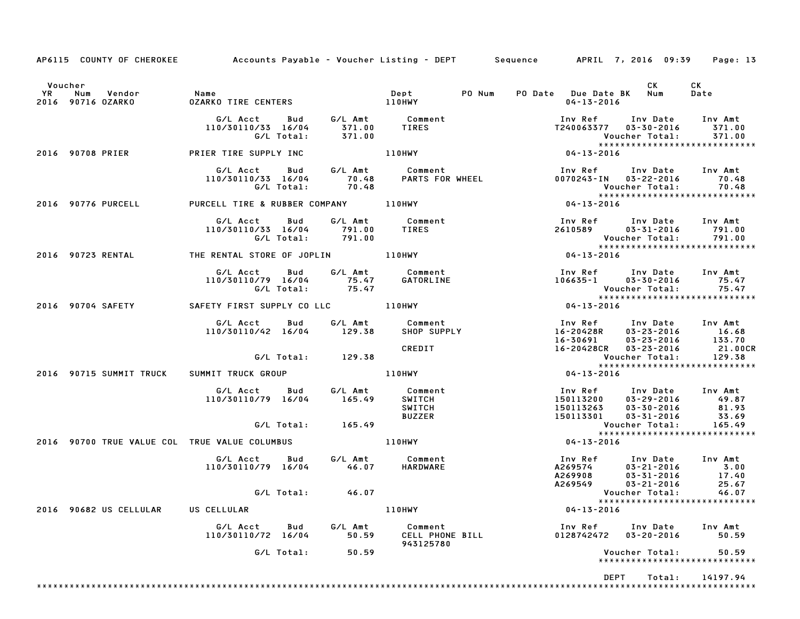|                      | AP6115 COUNTY OF CHEROKEE Accounts Payable - Voucher Listing - DEPT Sequence APRIL 7, 2016 09:39 |                                                                                                                                                                                                                                         |            |                   |                                                 |                                                                                                           |                                                                                |                              | Page: 13                                                                                                                            |
|----------------------|--------------------------------------------------------------------------------------------------|-----------------------------------------------------------------------------------------------------------------------------------------------------------------------------------------------------------------------------------------|------------|-------------------|-------------------------------------------------|-----------------------------------------------------------------------------------------------------------|--------------------------------------------------------------------------------|------------------------------|-------------------------------------------------------------------------------------------------------------------------------------|
| Voucher<br><b>YR</b> | 2016 90716 OZARKO                                                                                |                                                                                                                                                                                                                                         |            |                   |                                                 |                                                                                                           | PO Date Due Date BK Num<br>04-13-2016                                          | CK                           | CK<br>Date                                                                                                                          |
|                      |                                                                                                  | G/L Acct Bud G/L Amt Comment 110/30110/33 16/04 371.00<br>110/30110/33 16/04 371.00 TIRES 1240063377 03-30-2016 371.00<br>6/L Total: 371.00 17240063377 03-30-2016 371.00                                                               |            |                   |                                                 |                                                                                                           |                                                                                |                              | *****************************                                                                                                       |
|                      |                                                                                                  |                                                                                                                                                                                                                                         |            |                   |                                                 |                                                                                                           |                                                                                |                              |                                                                                                                                     |
|                      |                                                                                                  | G/L Acct Bud G/L Amt Comment Inv Ref Inv Date Inv Amt<br>110/30110/33 16/04 70.48 PARTS FOR WHEEL 0070243-IN 03-22-2016 70.48<br>G/L Total: 70.48 PARTS FOR WHEEL 0070243-IN 03-22-2016 70.48<br>RCELL TIRE & RUBBER COMPANY 110HWY 104 |            |                   |                                                 |                                                                                                           |                                                                                |                              |                                                                                                                                     |
|                      | 2016 90776 PURCELL PURCELL TIRE & RUBBER COMPANY 110HWY                                          |                                                                                                                                                                                                                                         |            |                   |                                                 |                                                                                                           |                                                                                |                              |                                                                                                                                     |
|                      |                                                                                                  | G/L Acct Bud G/L Amt Comment<br>110/30110/33 16/04 791.00 TIRES<br>G/L Total: 791.00<br>G/L Total: 791.00                                                                                                                               |            |                   |                                                 |                                                                                                           | Inv Ref        Inv Date      Inv Amt<br>2610589        03-31-2016       791.00 |                              |                                                                                                                                     |
|                      | 2016 90723 RENTAL THE RENTAL STORE OF JOPLIN 110HWY                                              |                                                                                                                                                                                                                                         |            |                   |                                                 |                                                                                                           | $04 - 13 - 2016$                                                               |                              |                                                                                                                                     |
|                      |                                                                                                  | 110/30110/79  16/04  75.47  GATORLINE<br>G/L Total:  75.47  GATORLINE                                                                                                                                                                   |            |                   | G/L Acct Bud G/L Amt Comment                    | Inv Ref      Inv Date    Inv Amt<br>106635–1       03–30–2016        75.47<br>Voucher Total:        75.47 |                                                                                |                              |                                                                                                                                     |
|                      |                                                                                                  |                                                                                                                                                                                                                                         |            |                   |                                                 |                                                                                                           |                                                                                |                              |                                                                                                                                     |
|                      |                                                                                                  | G/L Acct  Bud  G/L Amt  Comment<br>110/30110/42 16/04  129.38  SHOP SUPPLY                                                                                                                                                              |            |                   | CREDIT                                          |                                                                                                           |                                                                                |                              |                                                                                                                                     |
|                      |                                                                                                  |                                                                                                                                                                                                                                         |            | G/L Total: 129.38 |                                                 |                                                                                                           |                                                                                |                              | *****************************                                                                                                       |
|                      | 2016 90715 SUMMIT TRUCK SUMMIT TRUCK GROUP                                                       |                                                                                                                                                                                                                                         |            |                   | 110HWY                                          |                                                                                                           | $04 - 13 - 2016$                                                               |                              |                                                                                                                                     |
|                      |                                                                                                  | G/L Acct  Bud  G/L Amt  Comment<br>110/30110/79 16/04  165.49  SWITCH                                                                                                                                                                   |            | G/L Total: 165.49 | SWITCH<br><b>BUZZER</b>                         | 190113200 03.27.2010<br>150113263 03-30-2016 81.93<br>150113301 03-31-2016 33.69<br>Voucher Total: 165.49 | Inv Ref       Inv Date     Inv Amt<br>150113200     03–29–2016          49.87  |                              |                                                                                                                                     |
|                      |                                                                                                  |                                                                                                                                                                                                                                         |            |                   |                                                 |                                                                                                           |                                                                                |                              | *****************************                                                                                                       |
|                      | 2016 90700 TRUE VALUE COL TRUE VALUE COLUMBUS   110HWY                                           |                                                                                                                                                                                                                                         |            |                   |                                                 |                                                                                                           | $04 - 13 - 2016$                                                               |                              |                                                                                                                                     |
|                      |                                                                                                  | 110/30110/79 16/04 46.07                                                                                                                                                                                                                |            |                   | G/L Acct Bud G/L Amt Comment<br><b>HARDWARE</b> |                                                                                                           |                                                                                |                              | 1nv Ref 1nv Date 1nv Amt<br>A269574 03–21–2016 3.00<br>A269908 03–31–2016 17.40<br>A269549 03–21–2016 25.67<br>Voucher Total: 46.07 |
|                      |                                                                                                  |                                                                                                                                                                                                                                         | G/L Total: | 46.07             |                                                 |                                                                                                           |                                                                                |                              | *****************************                                                                                                       |
|                      | 2016 90682 US CELLULAR                                                                           | US CELLULAR                                                                                                                                                                                                                             |            |                   | 110HWY                                          |                                                                                                           | $04 - 13 - 2016$                                                               |                              |                                                                                                                                     |
|                      |                                                                                                  | G/L Acct<br>110/30110/72 16/04                                                                                                                                                                                                          | Bud        | G/L Amt<br>50.59  | Comment<br>CELL PHONE BILL<br>943125780         |                                                                                                           | Inv Ref<br>0128742472                                                          | Inv Date<br>$03 - 20 - 2016$ | Inv Amt<br>50.59                                                                                                                    |
|                      |                                                                                                  |                                                                                                                                                                                                                                         | G/L Total: | 50.59             |                                                 |                                                                                                           |                                                                                | Voucher Total:               | 50.59<br>*****************************                                                                                              |
|                      |                                                                                                  |                                                                                                                                                                                                                                         |            |                   |                                                 |                                                                                                           |                                                                                | <b>DEPT</b><br>Total:        | 14197.94                                                                                                                            |
|                      |                                                                                                  |                                                                                                                                                                                                                                         |            |                   |                                                 |                                                                                                           |                                                                                |                              |                                                                                                                                     |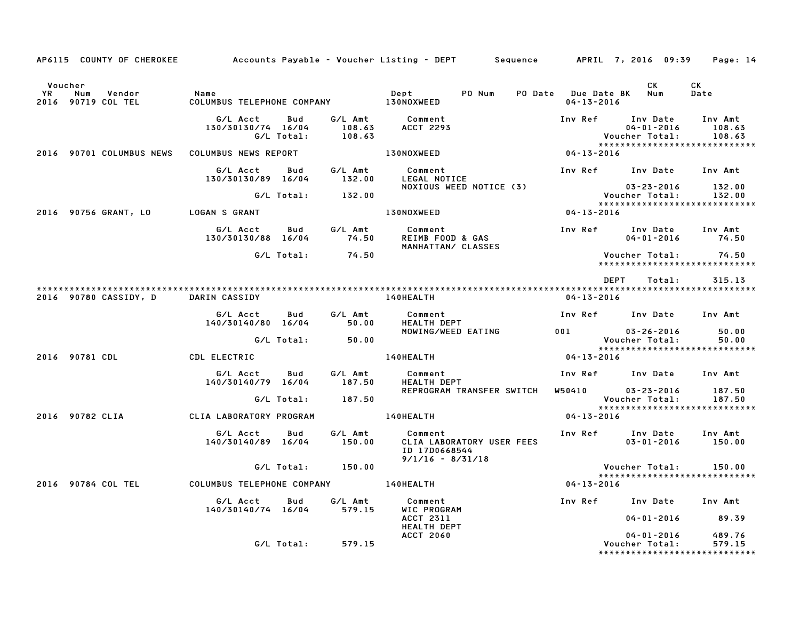|                                                          |                                               |                   |                   | AP6115 COUNTY OF CHEROKEE Accounts Payable – Voucher Listing – DEPT Sequence APRIL 7, 2016 09:39 |                  |                                                                     | Page: 14                    |
|----------------------------------------------------------|-----------------------------------------------|-------------------|-------------------|--------------------------------------------------------------------------------------------------|------------------|---------------------------------------------------------------------|-----------------------------|
| Voucher<br><b>YR</b><br>Num Vendor<br>2016 90719 COL TEL | Name<br>COLUMBUS TELEPHONE COMPANY 130NOXWEED |                   |                   | Dept PO Num                                                                                      | $04 - 13 - 2016$ | CK.<br>PO Date Due Date BK Num                                      | CK<br>Date                  |
|                                                          | G/L Acct<br>130/30130/74 16/04                | Bud<br>G/L Total: | 108.63            | G/L Amt Comment<br>108.63 ACCT 2293                                                              |                  | Inv Ref Inv Date<br>$04 - 01 - 2016$<br>Voucher Total:              | Inv Amt<br>108.63<br>108.63 |
| 2016 90701 COLUMBUS NEWS                                 | COLUMBUS NEWS REPORT                          |                   |                   | <b>130NOXWEED</b>                                                                                | $04 - 13 - 2016$ |                                                                     |                             |
|                                                          | G/L Acct Bud<br>130/30130/89 16/04 132.00     |                   | G⁄L Amt           | Comment<br>LEGAL NOTICE<br>NOXIOUS WEED NOTICE (3)                                               |                  | Inv Ref Inv Date Inv Amt<br>$03 - 23 - 2016$ 132.00                 |                             |
|                                                          |                                               |                   | G/L Total: 132.00 |                                                                                                  |                  | ve دی دن<br>:Voucher Total                                          | 132.00                      |
| 2016 90756 GRANT, LO                                     | LOGAN S GRANT                                 |                   |                   | 130NOXWEED                                                                                       | 04-13-2016       |                                                                     |                             |
|                                                          | G/L Acct Bud<br>130/30130/88 16/04            |                   | G/L Amt<br>74.50  | Comment<br>REIMB FOOD & GAS<br>MANHATTALLS<br>MANHATTAN/ CLASSES                                 |                  | Inv Ref      Inv Date     Inv Amt<br>$04 - 01 - 2016$ 74.50         |                             |
|                                                          |                                               |                   | G/L Total: 74.50  |                                                                                                  |                  | ******************************                                      |                             |
| 2016 90780 CASSIDY, D                                    | DARIN CASSIDY                                 |                   |                   | 140HEALTH                                                                                        | 04-13-2016       | DEPT<br>Total:                                                      | 315.13                      |
|                                                          | G/L Acct Bud<br>140/30140/80 16/04 50.00      |                   | G/L Amt           | Comment<br><b>HEALTH DEPT</b>                                                                    |                  | Inv Ref Inv Date Inv Amt                                            |                             |
|                                                          |                                               |                   | G/L Total: 50.00  | MOWING/WEED EATING                                                                               |                  | 001 03-26-2016<br>Voucher Total:                                    | 50.00<br>50.00              |
| 2016 90781 CDL                                           | CDL ELECTRIC                                  |                   |                   | 140HEALTH                                                                                        | 04-13-2016       |                                                                     |                             |
|                                                          | G/L Acct Bud<br>140/30140/79 16/04            |                   | G/L Amt<br>187.50 | Comment<br><b>HEALTH DEPT</b>                                                                    |                  | Inv Ref Inv Date Inv Amt                                            |                             |
|                                                          |                                               | G/L Total:        | 187.50            | REPROGRAM TRANSFER SWITCH W50410 03-23-2016                                                      |                  | Voucher Total:                                                      | 187.50<br>187.50            |
| 2016 90782 CLIA                                          | CLIA LABORATORY PROGRAM                       |                   |                   | <b>140HEALTH</b>                                                                                 | 04-13-2016       | *****************************                                       |                             |
|                                                          | G/L Acct<br>140/30140/89 16/04                | Bud               | G/L Amt<br>150.00 | Comment<br>CLIA LABORATORY USER FEES<br>ID 17D0668544<br>$9/1/16 - 8/31/18$                      | Inv Ref          | Inv Date<br>$03 - 01 - 2016$                                        | Inv Amt<br>150.00           |
|                                                          |                                               |                   | G/L Total: 150.00 |                                                                                                  |                  | Voucher Total:<br>*****************************                     | 150.00                      |
| 2016 90784 COL TEL                                       |                                               |                   |                   | COLUMBUS TELEPHONE COMPANY 140HEALTH                                                             | 04-13-2016       |                                                                     |                             |
|                                                          | G/L Acct<br>140/30140/74 16/04                | Bud               | G/L Amt<br>579.15 | Comment<br>WIC PROGRAM                                                                           |                  | Inv Ref Inv Date Inv Amt                                            |                             |
|                                                          |                                               |                   |                   | ACCT 2311<br>HEALTH DEPT                                                                         |                  | $04 - 01 - 2016$ 89.39                                              |                             |
|                                                          |                                               | G/L Total:        | 579.15            | <b>ACCT 2060</b>                                                                                 |                  | $04 - 01 - 2016$<br>Voucher Total:<br>***************************** | 489.76<br>579.15            |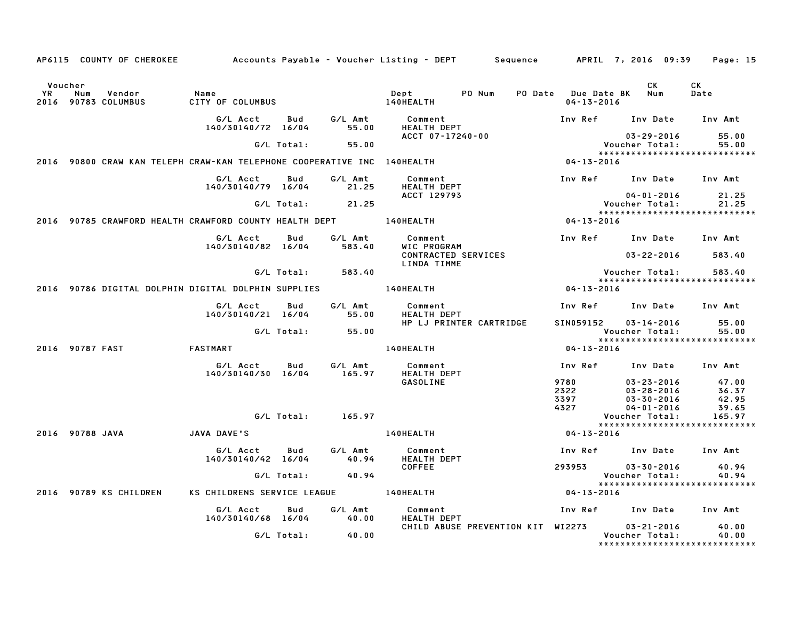|               | AP6115 COUNTY OF CHEROKEE                                               |                                |            |                       | Accounts Payable – Voucher Listing – DEPT       Sequence       APRIL 7, 2016  09:39 |                                             |                                                                     | Page: 15       |
|---------------|-------------------------------------------------------------------------|--------------------------------|------------|-----------------------|-------------------------------------------------------------------------------------|---------------------------------------------|---------------------------------------------------------------------|----------------|
| Voucher<br>YR | Num<br>Vendor<br>2016 90783 COLUMBUS                                    | Name<br>CITY OF COLUMBUS       |            |                       | PO Num<br>Dept<br>140HEALTH                                                         | PO Date Due Date BK Num<br>$04 - 13 - 2016$ | CK.                                                                 | CK<br>Date     |
|               |                                                                         | G/L Acct<br>140/30140/72 16/04 | Bud        | G/L Amt<br>55.00      | Comment<br>HEALTH DEPT                                                              |                                             | Inv Ref Inv Date Inv Amt                                            |                |
|               |                                                                         |                                | G/L Total: | 55.00                 | ACCT 07-17240-00                                                                    |                                             | 03-29-2016<br>Voucher Total:                                        | 55.00<br>55.00 |
|               | 2016 90800 CRAW KAN TELEPH CRAW-KAN TELEPHONE COOPERATIVE INC 140HEALTH |                                |            |                       |                                                                                     | 04-13-2016                                  | ******************************                                      |                |
|               |                                                                         | G/L Acct<br>140/30140/79 16/04 | Bud        | G/L Amt<br>21.25      | Comment<br><b>HEALTH DEPT</b>                                                       |                                             | Inv Ref Inv Date Inv Amt                                            |                |
|               |                                                                         |                                | G/L Total: | 21.25                 | ACCT 129793                                                                         |                                             | 04-01-2016<br>Voucher Total:<br>*****************************       | 21.25<br>21.25 |
|               | 2016 90785 CRAWFORD HEALTH CRAWFORD COUNTY HEALTH DEPT 140HEALTH        |                                |            |                       |                                                                                     | 04-13-2016                                  |                                                                     |                |
|               |                                                                         | G/L Acct<br>140/30140/82 16/04 | Bud        | G/L Amt<br>583.40     | Comment<br>WIC PROGRAM                                                              |                                             | Inv Ref Inv Date                                                    | Inv Amt        |
|               |                                                                         |                                |            |                       | CONTRACTED SERVICES<br>LINDA TIMME                                                  |                                             | 03-22-2016                                                          | 583.40         |
|               |                                                                         |                                | G/L Total: | 583.40                |                                                                                     |                                             | Voucher Total:<br>*****************************                     | 583.40         |
|               | 2016 90786 DIGITAL DOLPHIN DIGITAL DOLPHIN SUPPLIES                     |                                |            |                       | <b>140HEALTH</b>                                                                    | 04-13-2016                                  |                                                                     |                |
|               |                                                                         | G/L Acct<br>140/30140/21 16/04 | Bud        | G/L Amt<br>55.00      | Comment<br><b>HEALTH DEPT</b>                                                       |                                             | Inv Ref      Inv Date                                               | Inv Amt        |
|               |                                                                         |                                | G/L Total: | 55.00                 | HP LJ PRINTER CARTRIDGE                                                             | SIN059152                                   | 03-14-2016<br>Voucher Total:<br>*****************************       | 55.00<br>55.00 |
|               | 2016 90787 FAST                                                         | <b>FASTMART</b>                |            |                       | 140HEALTH                                                                           | $04 - 13 - 2016$                            |                                                                     |                |
|               |                                                                         | G/L Acct                       | Bud        | G/L Amt               | Comment                                                                             |                                             | Inv Ref      Inv Date     Inv Amt                                   |                |
|               |                                                                         | 140/30140/30 16/04             |            | 165.97                | <b>HEALTH DEPT</b>                                                                  |                                             |                                                                     |                |
|               |                                                                         |                                |            |                       | GASOLINE                                                                            | 9780                                        | 03-23-2016                                                          | 47.00          |
|               |                                                                         |                                |            |                       |                                                                                     | 2322<br>3397                                | $03 - 28 - 2016$                                                    | 36.37<br>42.95 |
|               |                                                                         |                                |            |                       |                                                                                     | 4327                                        | 03-30-2016<br>$04 - 01 - 2016$                                      | 39.65          |
|               |                                                                         |                                |            | $G/L$ Total: $165.97$ |                                                                                     |                                             | Voucher Total:                                                      | 165.97         |
|               |                                                                         |                                |            |                       |                                                                                     |                                             | *****************************                                       |                |
|               | 2016 90788 JAVA                                                         | JAVA DAVE'S                    |            |                       | 140HEALTH                                                                           | 04-13-2016                                  |                                                                     |                |
|               |                                                                         | G/L Acct<br>140/30140/42 16/04 | Bud        | G/L Amt<br>40.94      | Comment<br>HEALTH DEPT                                                              |                                             | Inv Ref      Inv Date     Inv Amt                                   |                |
|               |                                                                         |                                | G/L Total: | 40.94                 | <b>COFFEE</b>                                                                       | 293953                                      | $03 - 30 - 2016$<br>Voucher Total:                                  | 40.94<br>40.94 |
|               |                                                                         |                                |            |                       |                                                                                     |                                             | *****************************                                       |                |
|               | 2016 90789 KS CHILDREN                                                  | KS CHILDRENS SERVICE LEAGUE    |            |                       | <b>140HEALTH</b>                                                                    | 04-13-2016                                  |                                                                     |                |
|               |                                                                         | G/L Acct<br>140/30140/68 16/04 | Bud        | G/L Amt<br>40.00      | Comment<br><b>HEALTH DEPT</b>                                                       |                                             | Inv Ref      Inv Date     Inv Amt                                   |                |
|               |                                                                         |                                | G/L Total: | 40.00                 | CHILD ABUSE PREVENTION KIT WI2273                                                   |                                             | $03 - 21 - 2016$<br>Voucher Total:<br>***************************** | 40.00<br>40.00 |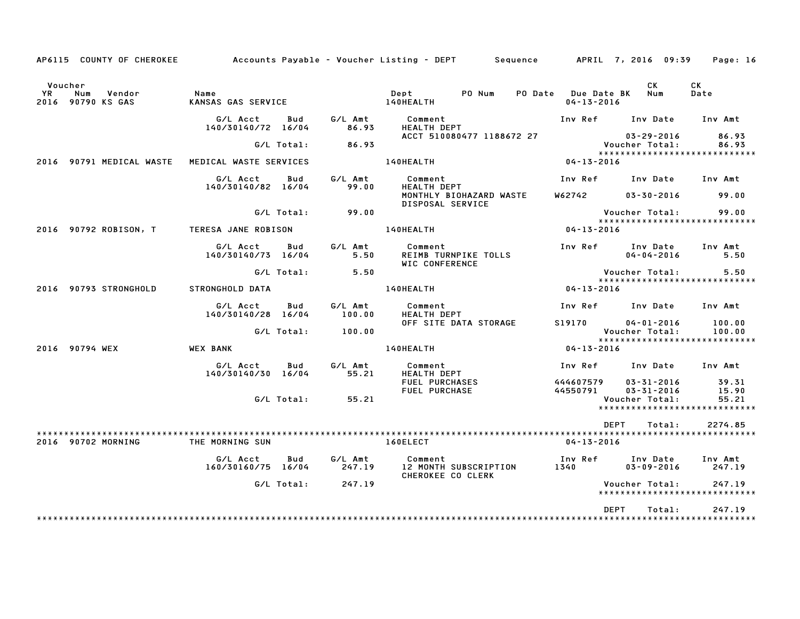| AP6115 COUNTY OF CHEROKEE                           |                                       |                   | Accounts Payable – Voucher Listing – DEPT         Sequence   |                                             | APRIL 7, 2016 09:39                              | Page: 16          |
|-----------------------------------------------------|---------------------------------------|-------------------|--------------------------------------------------------------|---------------------------------------------|--------------------------------------------------|-------------------|
| Voucher<br>YR<br>Num<br>Vendor<br>2016 90790 KS GAS | Name<br>KANSAS GAS SERVICE            |                   | Dept<br>PO Num<br>140HEALTH                                  | PO Date Due Date BK Num<br>$04 - 13 - 2016$ | CK.                                              | CK<br>Date        |
|                                                     | G/L Acct<br>Bud<br>140/30140/72 16/04 | G/L Amt<br>86.93  | Comment<br><b>HEALTH DEPT</b>                                |                                             | Inv Ref Inv Date Inv Amt                         |                   |
|                                                     | G/L Total:                            | 86.93             | ACCT 510080477 1188672 27                                    |                                             | $03 - 29 - 2016$<br>Voucher Total:               | 86.93<br>86.93    |
| 2016 90791 MEDICAL WASTE                            | MEDICAL WASTE SERVICES                |                   | 140HEALTH                                                    | 04-13-2016                                  | *****************************                    |                   |
|                                                     | G/L Acct<br>Bud<br>140/30140/82 16/04 | G/L Amt<br>99.00  | Comment<br><b>HEALTH DEPT</b>                                | Inv Ref                                     | Inv Date                                         | Inv Amt           |
|                                                     |                                       |                   | MONTHLY BIOHAZARD WASTE<br>DISPOSAL SERVICE                  | W62742                                      | $03 - 30 - 2016$                                 | 99.00             |
| 2016 90792 ROBISON, T                               | G/L Total:<br>TERESA JANE ROBISON     | 99.00             | 140HEALTH                                                    | $04 - 13 - 2016$                            | Voucher Total:<br>*****************************  | 99.00             |
|                                                     |                                       |                   |                                                              |                                             |                                                  |                   |
|                                                     | G/L Acct<br>Bud<br>140/30140/73 16/04 | G/L Amt<br>5.50   | Comment<br>REIMB TURNPIKE TOLLS<br><b>WIC CONFERENCE</b>     | Inv Ref                                     | Inv Date<br>$04 - 04 - 2016$                     | Inv Amt<br>5.50   |
|                                                     | G/L Total:                            | 5.50              |                                                              |                                             | Voucher Total:<br>****************************** | 5.50              |
| 2016 90793 STRONGHOLD                               | STRONGHOLD DATA                       |                   | 140HEALTH                                                    | 04-13-2016                                  |                                                  |                   |
|                                                     | G/L Acct<br>Bud<br>140/30140/28 16/04 | G/L Amt<br>100.00 | Comment<br><b>HEALTH DEPT</b>                                |                                             | Inv Ref Inv Date                                 | Inv Amt           |
|                                                     | G/L Total: 100.00                     |                   | OFF SITE DATA STORAGE                                        | S19170                                      | $04 - 01 - 2016$<br>Voucher Total:               | 100.00<br>100.00  |
| 2016 90794 WEX                                      | <b>WEX BANK</b>                       |                   | 140HEALTH                                                    | $04 - 13 - 2016$                            | *****************************                    |                   |
|                                                     | G/L Acct<br>Bud<br>140/30140/30 16/04 | G/L Amt<br>55.21  | Comment<br><b>HEALTH DEPT</b>                                |                                             | Inv Ref Inv Date Inv Amt                         |                   |
|                                                     |                                       |                   | FUEL PURCHASES<br>FUEL PURCHASE                              | 444607579<br>44550791                       | $03 - 31 - 2016$<br>$03 - 31 - 2016$             | 39.31<br>15.90    |
|                                                     | G/L Total:                            | 55.21             |                                                              |                                             | Voucher Total:<br>*****************************  | 55.21             |
|                                                     |                                       |                   |                                                              |                                             | DEPT<br>Total:                                   | 2274.85           |
| 2016 90702 MORNING                                  | THE MORNING SUN                       |                   | 160ELECT                                                     | $04 - 13 - 2016$                            |                                                  |                   |
|                                                     | G/L Acct<br>Bud<br>160/30160/75 16/04 | G/L Amt<br>247.19 | Comment<br>12 MONTH SUBSCRIPTION<br><b>CHEROKEE CO CLERK</b> | 1340                                        | Inv Ref      Inv Date<br>$03 - 09 - 2016$        | Inv Amt<br>247.19 |
|                                                     | G/L Total:                            | 247.19            |                                                              |                                             | Voucher Total:<br>*****************************  | 247.19            |
|                                                     |                                       |                   |                                                              |                                             | DEPT<br>Total:                                   | 247.19            |
|                                                     |                                       |                   |                                                              |                                             |                                                  |                   |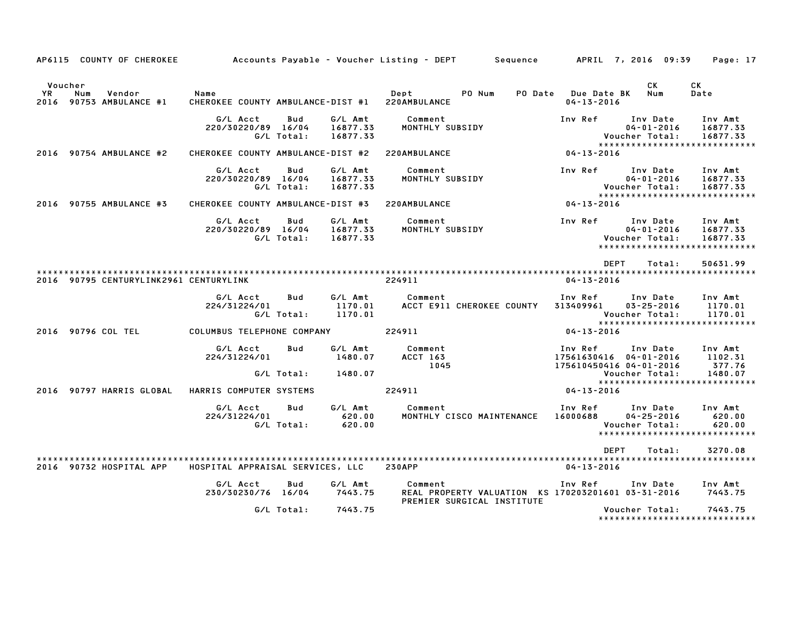|               |     | AP6115 COUNTY OF CHEROKEE         |                                           |                   |                                 | Accounts Payable – Voucher Listing – DEPT         Sequence         APRIL  7, 2016  09:39    |                                         |                                                                                  | Page: 17                                 |
|---------------|-----|-----------------------------------|-------------------------------------------|-------------------|---------------------------------|---------------------------------------------------------------------------------------------|-----------------------------------------|----------------------------------------------------------------------------------|------------------------------------------|
| Voucher<br>YR | Num | Vendor<br>2016 90753 AMBULANCE #1 | Name<br>CHEROKEE COUNTY AMBULANCE-DIST #1 |                   |                                 | PO Num<br>Depter<br>220AMBULANCE                                                            | PO Date Due Date BK<br>$04 - 13 - 2016$ | CK<br>Num                                                                        | CK<br>Date                               |
|               |     |                                   | G/L Acct<br>220/30220/89 16/04            | Bud<br>G/L Total: | G/L Amt<br>16877.33<br>16877.33 | Comment<br>MONTHLY SUBSIDY                                                                  | Inv Ref                                 | Inv Date<br>$04 - 01 - 2016$<br>Voucher Total:<br>****************************** | Inv Amt<br>16877.33<br>16877.33          |
|               |     | 2016 90754 AMBULANCE #2           | CHEROKEE COUNTY AMBULANCE-DIST #2         |                   |                                 | 220AMBULANCE                                                                                | 04-13-2016                              |                                                                                  |                                          |
|               |     |                                   | G/L Acct<br>220/30220/89 16/04            | Bud<br>G/L Total: | G/L Amt<br>16877.33<br>16877.33 | Comment<br>MONTHLY SUBSIDY                                                                  | Inv Ref                                 | Inv Date<br>$04 - 01 - 2016$<br>Voucher Total:<br>*****************************  | Inv Amt<br>16877.33<br>16877.33          |
|               |     | 2016 90755 AMBULANCE #3           | CHEROKEE COUNTY AMBULANCE-DIST #3         |                   |                                 | 220AMBULANCE                                                                                | 04-13-2016                              |                                                                                  |                                          |
|               |     |                                   | G/L Acct<br>220/30220/89 16/04            | Bud<br>G/L Total: | G/L Amt<br>16877.33<br>16877.33 | Comment<br>MONTHLY SUBSIDY                                                                  | Inv Ref                                 | Inv Date<br>$04 - 01 - 2016$<br>Voucher Total:<br>****************************** | Inv Amt<br>16877.33<br>16877.33          |
|               |     |                                   | 2016 90795 CENTURYLINK2961 CENTURYLINK    |                   |                                 | 224911                                                                                      | DEPT<br>$04 - 13 - 2016$                | Total:                                                                           | 50631.99                                 |
|               |     |                                   | G/L Acct<br>224/31224/01                  | Bud<br>G/L Total: | G/L Amt<br>1170.01<br>1170.01   | Comment<br>ACCT E911 CHEROKEE COUNTY                                                        | Inv Ref<br>313409961                    | Inv Date<br>$03 - 25 - 2016$<br>Voucher Total:<br>*****************************  | Inv Amt<br>1170.01<br>1170.01            |
|               |     | 2016 90796 COL TEL                | COLUMBUS TELEPHONE COMPANY                |                   |                                 | 224911                                                                                      | $04 - 13 - 2016$                        |                                                                                  |                                          |
|               |     |                                   | G/L Acct<br>224/31224/01                  | Bud<br>G/L Total: | G/L Amt<br>1480.07<br>1480.07   | Comment<br>ACCT 163<br>1045                                                                 | Inv Ref<br>175610450416 04-01-2016      | Inv Date<br>17561630416 04-01-2016<br>Voucher Total:                             | Inv Amt<br>1102.31<br>377.76<br>1480.07  |
|               |     | 2016 90797 HARRIS GLOBAL          | HARRIS COMPUTER SYSTEMS                   |                   |                                 | 224911                                                                                      | $04 - 13 - 2016$                        | *****************************                                                    |                                          |
|               |     |                                   | G/L Acct<br>224/31224/01                  | Bud<br>G/L Total: | G/L Amt<br>620.00<br>620.00     | Comment<br>MONTHLY CISCO MAINTENANCE                                                        | Inv Ref<br>16000688                     | Inv Date<br>$04 - 25 - 2016$<br>Voucher Total:<br>****************************** | Inv Amt<br>620.00<br>620.00              |
|               |     |                                   |                                           |                   |                                 |                                                                                             | <b>DEPT</b>                             | Total:                                                                           | 3270.08                                  |
|               |     | 2016 90732 HOSPITAL APP           | HOSPITAL APPRAISAL SERVICES, LLC          |                   |                                 | <b>230APP</b>                                                                               | $04 - 13 - 2016$                        |                                                                                  |                                          |
|               |     |                                   | G/L Acct<br>230/30230/76 16/04            | Bud               | G/L Amt<br>7443.75              | Comment<br>REAL PROPERTY VALUATION KS 170203201601 03-31-2016<br>PREMIER SURGICAL INSTITUTE | Inv Ref                                 | Inv Date                                                                         | Inv Amt<br>7443.75                       |
|               |     |                                   |                                           | G/L Total:        | 7443.75                         |                                                                                             |                                         | Voucher Total:                                                                   | 7443.75<br>***************************** |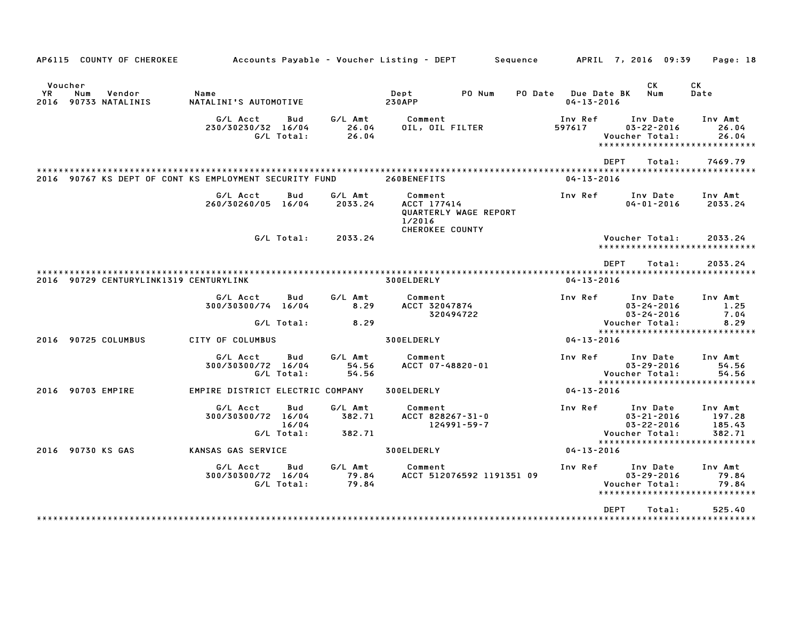| AP6115 COUNTY OF CHEROKEE                                 |                                  |                            |                             | Accounts Payable – Voucher Listing – DEPT                  |                           | Sequence |                                          | APRIL 7, 2016 09:39                                                              | Page: 18                              |
|-----------------------------------------------------------|----------------------------------|----------------------------|-----------------------------|------------------------------------------------------------|---------------------------|----------|------------------------------------------|----------------------------------------------------------------------------------|---------------------------------------|
| Voucher<br>YR<br>Num<br>Vendor<br>2016<br>90733 NATALINIS | Name<br>NATALINI'S AUTOMOTIVE    |                            |                             | Dept<br><b>230APP</b>                                      | PO Num                    | PO Date  | <b>Due Date BK</b><br>$04 - 13 - 2016$   | СK<br>Num                                                                        | CK<br>Date                            |
|                                                           | G/L Acct<br>230/30230/32 16/04   | Bud<br>G/L Total:          | G/L Amt<br>26.04<br>26.04   | Comment<br>OIL, OIL FILTER                                 |                           |          | Inv Ref<br>597617                        | Inv Date<br>$03 - 22 - 2016$<br>Voucher Total:<br>*****************************  | Inv Amt<br>26.04<br>26.04             |
| 2016 90767 KS DEPT OF CONT KS EMPLOYMENT SECURITY FUND    |                                  |                            |                             | 260BENEFITS                                                |                           |          | ********************<br>$04 - 13 - 2016$ | <b>DEPT</b><br>Total:                                                            | 7469.79<br>**********************     |
|                                                           | G/L Acct<br>260/30260/05 16/04   | Bud                        | G/L Amt<br>2033.24          | Comment<br>ACCT 177414<br>1/2016<br><b>CHEROKEE COUNTY</b> | QUARTERLY WAGE REPORT     |          | Inv Ref                                  | Inv Date<br>$04 - 01 - 2016$                                                     | Inv Amt<br>2033.24                    |
|                                                           |                                  | G/L Total:                 | 2033.24                     |                                                            |                           |          |                                          | Voucher Total:<br>*****************************                                  | 2033.24                               |
| 2016 90729 CENTURYLINK1319 CENTURYLINK                    |                                  |                            |                             | 300ELDERLY                                                 |                           |          | $04 - 13 - 2016$                         | <b>DEPT</b><br>Total:                                                            | 2033.24                               |
|                                                           | G/L Acct<br>300/30300/74 16/04   | Bud                        | G/L Amt<br>8.29             | Comment<br>ACCT 32047874                                   | 320494722                 |          | Inv Ref                                  | Inv Date<br>$03 - 24 - 2016$<br>$03 - 24 - 2016$                                 | Inv Amt<br>1.25<br>7.04               |
|                                                           |                                  | G/L Total:                 | 8.29                        |                                                            |                           |          |                                          | Voucher Total:<br>*****************************                                  | 8.29                                  |
| 90725 COLUMBUS<br>2016                                    | CITY OF COLUMBUS                 |                            |                             | 300ELDERLY                                                 |                           |          | $04 - 13 - 2016$                         |                                                                                  |                                       |
|                                                           | G/L Acct<br>300/30300/72 16/04   | <b>Bud</b><br>G/L Total:   | G/L Amt<br>54.56<br>54.56   | Comment<br>ACCT 07-48820-01                                |                           |          | Inv Ref                                  | Inv Date<br>$03 - 29 - 2016$<br>Voucher Total:<br>*****************************  | Inv Amt<br>54.56<br>54.56             |
| 2016 90703 EMPIRE                                         | EMPIRE DISTRICT ELECTRIC COMPANY |                            |                             | 300ELDERLY                                                 |                           |          | $04 - 13 - 2016$                         |                                                                                  |                                       |
|                                                           | G/L Acct<br>300/30300/72 16/04   | Bud<br>16/04<br>G/L Total: | G/L Amt<br>382.71<br>382.71 | Comment<br>ACCT 828267-31-0                                | 124991-59-7               |          | Inv Ref                                  | Inv Date<br>$03 - 21 - 2016$<br>$03 - 22 - 2016$<br>Voucher Total:               | Inv Amt<br>197.28<br>185.43<br>382.71 |
| 2016 90730 KS GAS                                         | KANSAS GAS SERVICE               |                            |                             | 300ELDERLY                                                 |                           |          | $04 - 13 - 2016$                         | *****************************                                                    |                                       |
|                                                           | G/L Acct<br>300/30300/72 16/04   | Bud<br>G/L Total:          | G/L Amt<br>79.84<br>79.84   | Comment                                                    | ACCT 512076592 1191351 09 |          | Inv Ref                                  | Inv Date<br>$03 - 29 - 2016$<br>Voucher Total:<br>****************************** | Inv Amt<br>79.84<br>79.84             |
|                                                           |                                  |                            |                             |                                                            |                           |          |                                          | <b>DEPT</b><br>Total:                                                            | 525.40                                |